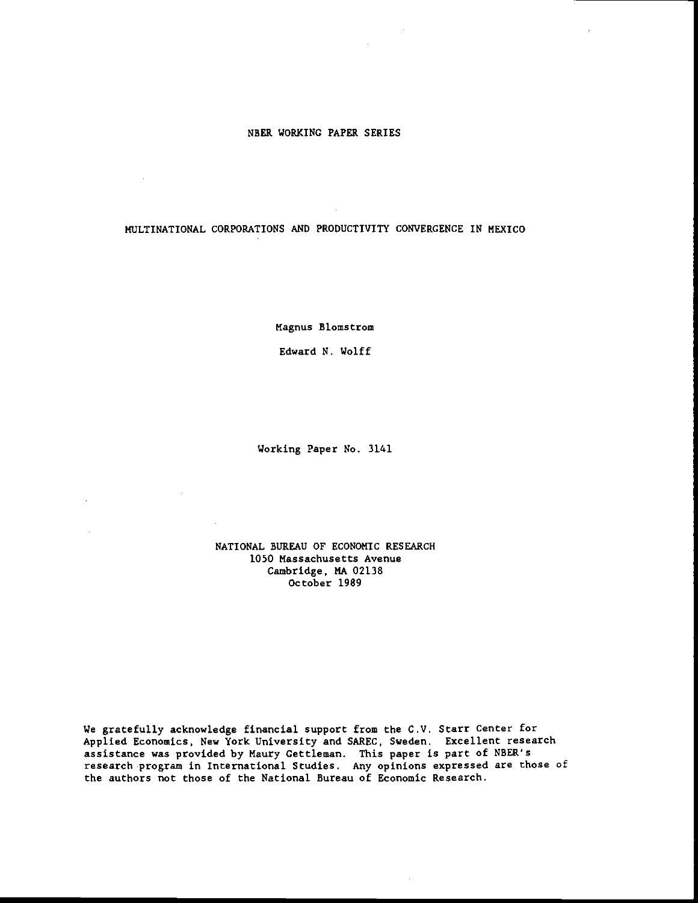#### NBER WORKING PAPER SERIES

 $\sim 10^{-1}$ 

 $\sim 10^{-11}$ 

 $\mathcal{L}$ 

 $\sim$ 

 $\sim 10^{-1}$ 

MULTINATIONAL CORPORATIONS AND PRODUCTIVITY CONVERGENCE IN MEXICO

Magnus Blomstrom

Edward N. Wolff

Working Paper No. 3141

NATIONAL BUREAU OF ECONOMIC RESEARCH 1050 Massachusetts Avenue Cambridge, MA 02138 October 1989

We gratefully acknowledge financial support from the C.V. Starr Center for Applied Economics, New York University and SAREC, Sweden. Excellent research assistance was provided by Maury Gettleman. This paper is part of NBER's research program in International Studies. Any opinions expressed are those of the authors not those of the National Bureau of Economic Research.

 $\mathcal{A}$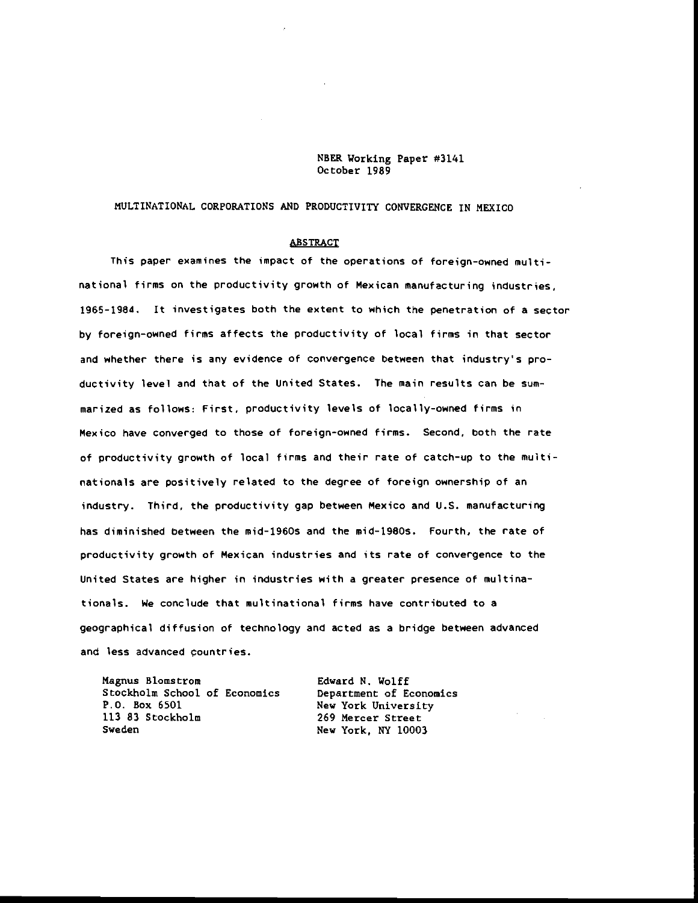NBER Working Paper #314]. October 1989

# MULTINATIONAL CORPORATIONS AND PRODUCTIVITY CONVERGENCE IN MEXICO

### **ABSTRACT**

This paper examines the impact of the operations of foreign-owned multinational firms on the productivity growth of Mexican manufacturing industries. 1965-1984. It investigates both the extent to which the penetration of a sector by foreign—owned firms affects the productivity of local firms in that sector and whether there is any evidence of convergence between that industry's productivity level and that of the United States. The main results can be summarized as follows: First, productivity levels of locally-owned firms in Mexico have converged to those of foreign-owned firms. Second, both the rate of productivity growth of local firms and their rate of catch-up to the multinationals are positively related to the degree of foreign ownership of an industry. Third, the productivity gap between Mexico and U.S. manufacturing has diminished between the mid-1960s and the mid-1980s. Fourth, the rate of productivity growth of Mexican industries and its rate of convergence to the United States are higher in industries with a greater presence of multinationals. We conclude that multinational firms have contributed to a geographical diffusion of technology and acted as a bridge between advanced and less advanced countries.

| Magnus Blomstrom              | Edward N. Wolff         |
|-------------------------------|-------------------------|
| Stockholm School of Economics | Department of Economics |
| P.O. Box 6501                 | New York University     |
| 113 83 Stockholm              | 269 Mercer Street       |
| Sweden                        | New York, NY 10003      |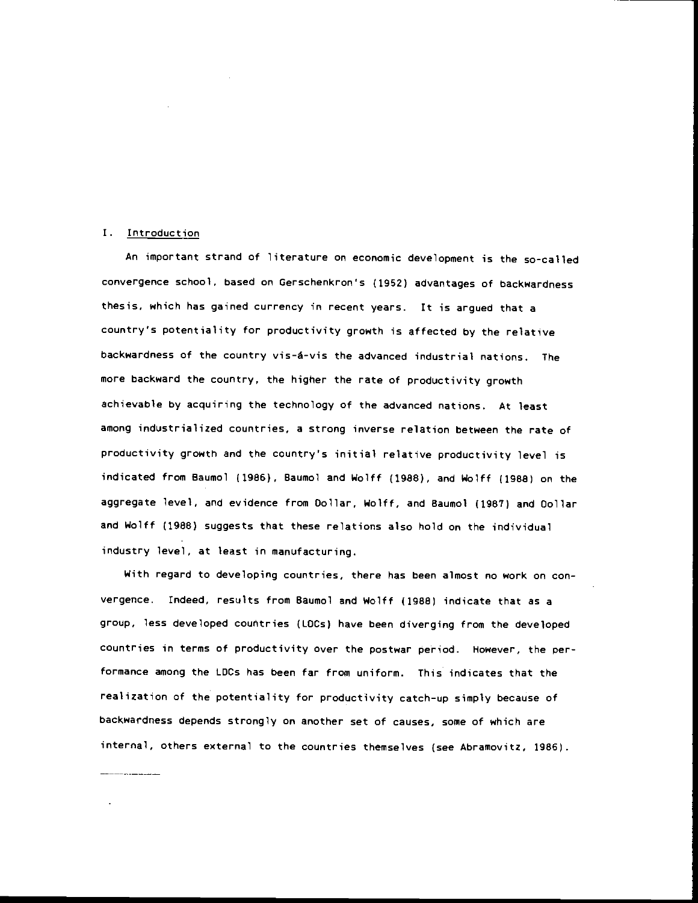#### I. Introduction

An important strand of literature on economic development is the so-called convergence school, based on Gerschenkron's (1952) advantages of backwardness thesis, which has gained currency in recent years. It is argued that a country's potentiality for productivity growth is affected by the relative backwardness of the country vis—á—vis the advanced industrial nations. The more backward the country, the higher the rate of productivity growth achievable by acquiring the technology of the advanced nations. At least among industrialized countries, a strong inverse relation between the rate of productivity growth and the country's initial relative productivity level is indicated from Baumol (1985), Baumol and Wolff (1988), and Wolff (1968) on the aggregate level, and evidence from Collar, Wolff, and Baumol (1987) and Collar and Wolff (1988) suggests that these relations also hold on the individual industry level, at least in manufacturing.

With regard to developing countries, there has been almost no work on convergence. tndeed, results from Baumol and Wolff (1988) indicate that as a group, less developed countries (LOCs) have been diverging from the developed countries in terms of productivity over the postwar period. However, the performance among the LDCs has been far from uniform. This indicates that the realization of the potentiality for productivity catch-up simply because of backwardness depends strongly on another set of causes, some of which are internal, others external to the countries themselves (see Abramovitz, 1966).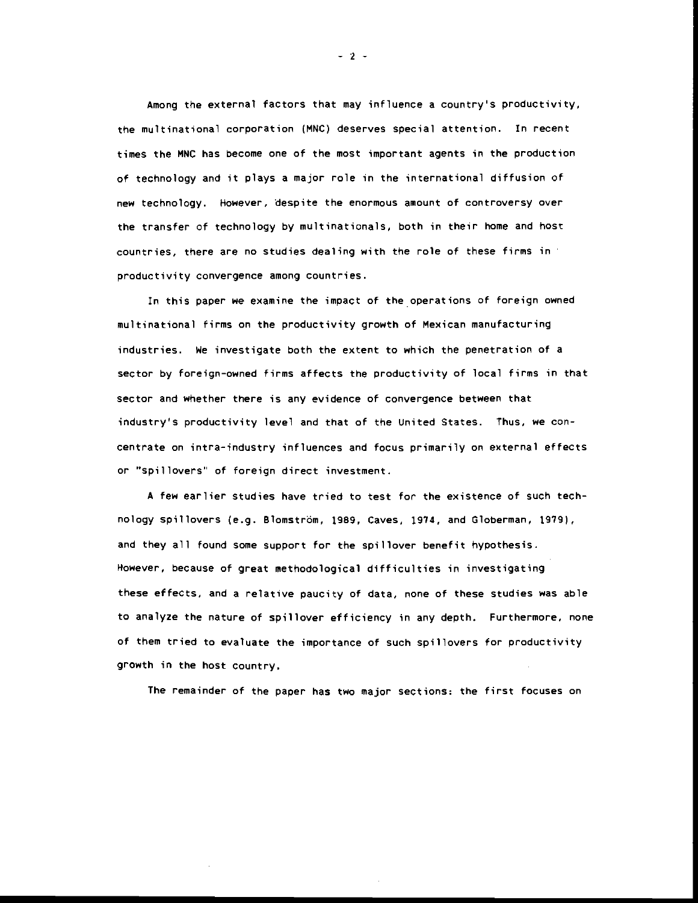Among the external factors that may influence a country's productivity, the multinational corporation (MNC) deserves special attention. !n recent times the MNC has become one of the most important agents in the production of technology and it plays a major role in the international diffusion of new technology. However, despite the enormous amount of controversy over the transfer of technology by multinationals, both in their home and host countries, there are no studies dealing with the role of these firms in productivity convergence among countries.

In this paper we examine the impact of the operations of foreign owned multinational firms on the productivity growth of Mexican manufacturing industries. We investigate both the extent to which the penetration of a sector by foreign-owned firms affects the productivity of local firms in that sector and whether there is any evidence of convergence between that industry's productivity level and that of the United States. Thus, we concentrate on intra-industry influences and focus primarily on external effects or "spillovers" of foreign direct investment.

A few earlier studies have tried to test for the existence of such technology spillovers (e.g. Blomström, 1989, Caves, 1974, and Globerman, 1979), and they all found some support for the spillover benefit hypothesis. However, because of great methodological difficulties in investigating these effects, and a relative paucity of data, none of these studies was able to analyze the nature of spillover efficiency in any depth. Furthermore, none of them tried to evaluate the importance of such spillovers for productivity growth in the host country.

The remainder of the paper has two major sections: the first focuses on

—2—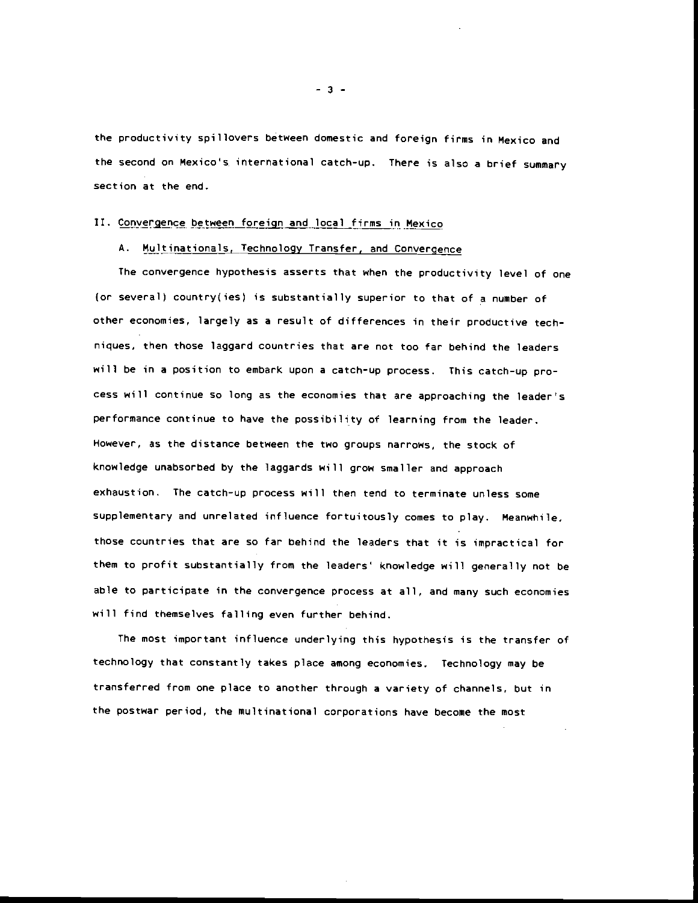the productivity spillovers between domestic and foreign firms in Mexico and the second on Mexico's international catch—up. There is also a brief summary section at the end.

#### II. Convergence between foreign and local firms in Mexico

### A. Multinationals, Technology Transfer, and Convergence

The convergence hypothesis asserts that when the productivity level of one (or several) country(ies) is substantially superior to that of a number of other economies, largely as a result of differences in their productive techniques. then those laggard countries that are not too far behind the leaders will be in a position to embark upon a catch-up process. This catch-up process will continue so long as the economies that are approaching the leader's performance continue to have the possibility of learning from the leader. However, as the distance between the two groups narrows, the stock of knowledge unabsorbed by the laggards will grow smaller and approach exhaustion. The catch-up process will then tend to terminate unless some supplementary and unrelated influence fortuitously comes to play. Meanwhile. those countries that are so far behind the leaders that it is impractical for them to profit substantially from the leaders' knowledge will generally not be able to participate in the convergence process at all, and many such economies will find themselves falling even further behind.

The most important influence underlying this hypothesis is the transfer of technology that constantly takes place among economies. Technology may be transferred from one place to another through a variety of channels, but in the postwar period, the multinational corporations have become the most

—3—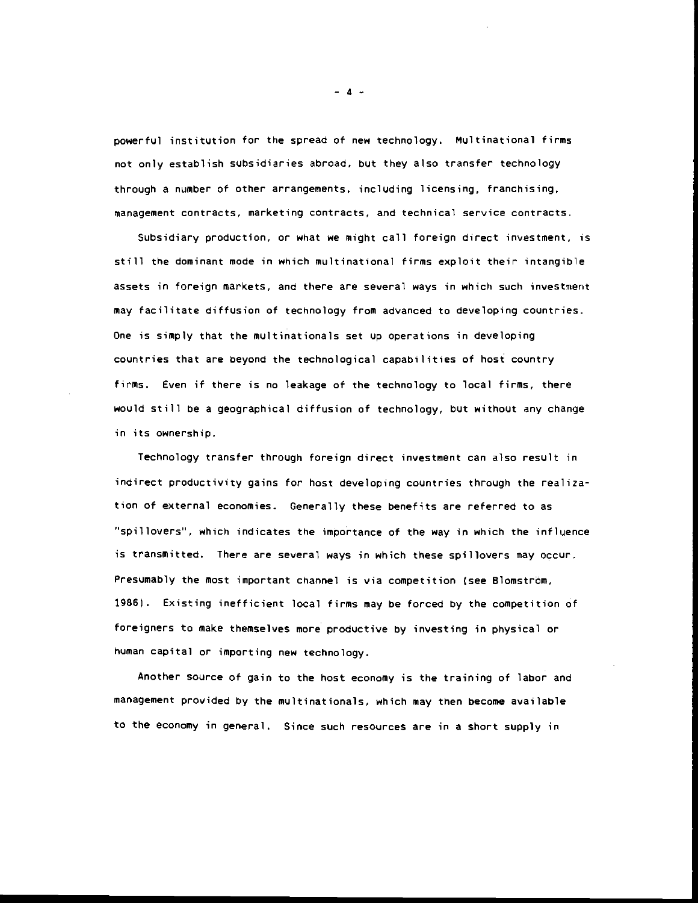powerful institution for the spread of new technology. Multinational firms not only establish subsidiaries abroad, but they also transfer technology through a number of other arrangements, including licensing, franchising, management contracts, marketing contracts, and technical service contracts.

Subsidiary production, or what we might call foreign direct investment, is still the dominant mode in which multinational firms exploit their intangible assets in foreign markets, and there are several ways in which such investment may facilitate diffusion of technology from advanced to developing countries. One is simply that the multinationals set up operations in developing countries that are beyond the technological capabilities of host country firms. Even if there is no leakage of the technology to local firms, there would still be a geographical diffusion of technology, but without any change in its ownership.

Technology transfer through foreign direct investment can also result in indirect productivity gains for host developing countries through the realization of external economies. Generally these benefits are referred to as "spillovers", which indicates the importance of the way in which the influence is transmitted. There are several ways in which these spillovers may occur. Presumably the most important channel is via competition (see Blomström, 1986). Existing inefficient local firms may be forced by the competition of foreigners to make themselves more productive by investing in physical or human capital or importing new technology.

Another source of gain to the host economy is the training of labor and management provided by the multinationals, which may then become available to the economy in general. Since such resources are in a short supply in

 $-4-$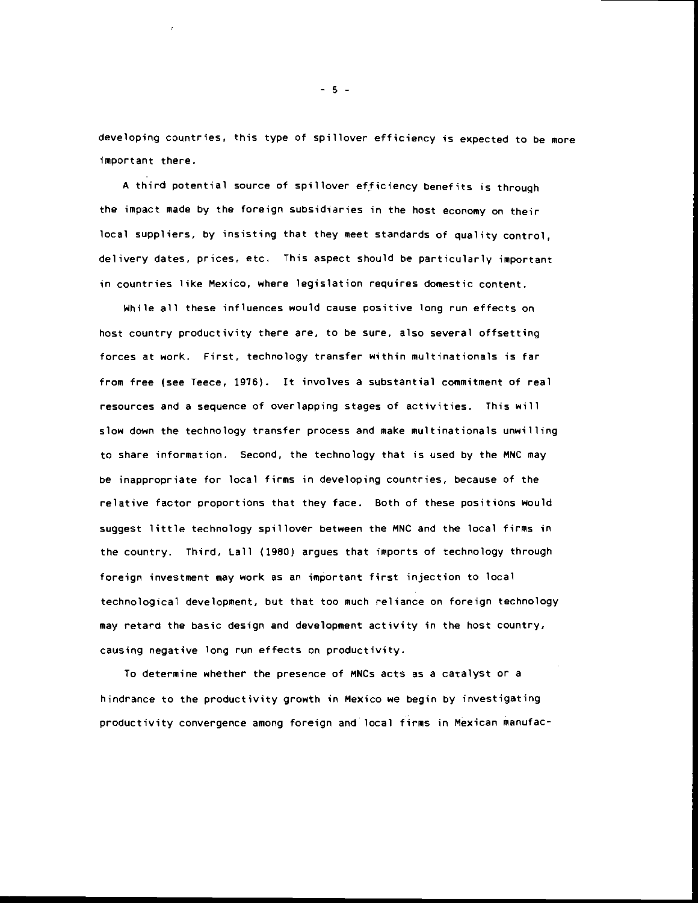developing coyntries, this type of spillover efficiency is expected to be more important there.

A third potential source of spillover efficiency benefits is through the impact made by the foreign subsidiaries in the host economy on their local suppliers, by insisting that they meet standards of quality control, delivery dates, prices, etc. This aspect should be particularly important in countries like Mexico, where legislation requires domestic content.

While all these influences would cause positive long run effects on host country productivity there are, to be sure, also several offsetting forces at work. First, technology transfer within multinationals is far from free (see Teece, 1976). It involves a substantial commitment of real resources and a sequence of overlapping stages of activities. This will slow down the technology transfer process and make multinationals unwilling to share information. Second, the technology that is used by the MNC may be inappropriate for local firms in developing countries, because of the relative factor proportions that they face. Both of these positions would suggest little technology spillover between the MNC and the local firms in the country. Third, Lall (1980) argues that imports of technology through foreign investment may work as an important first injection to local technological development, but that too much reliance on foreign technology may retard the basic design and development activity in the host country, causing negative long run effects on productivity.

To determine whether the presence of MNCs acts as a catalyst or a hindrance to the productivity growth in Mexico we begin by investigating productivity convergence among foreign and local firms in Mexican manufac-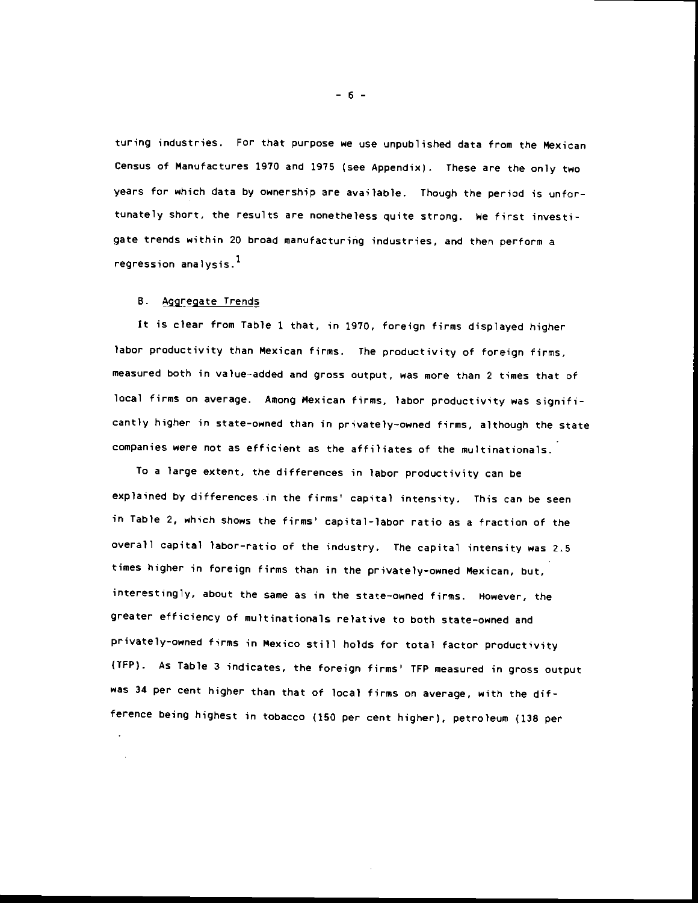turing industries. For that purpose we use unpublished data from the Mexican Census of Manufactures 1970 and 1975 (see Appendix). These are the only two years for which data by ownership are available. Though the period is unfortunately short, the results are nonetheless quite strong. We first investigate trends within 20 broad manufacturing industries, and then perform a regression analysis. $<sup>1</sup>$ </sup>

#### B. Aggregate Trends

It is clear from Table I that, in 1970, foreign firms displayed higher labor productivity than Mexican firms. The productivity of foreign firms, measured both in value—added and gross output, was more than 2 times that of local firms on average. Among Mexican firms, labor productivity was significantly higher in state-owned than in privately-owned firms, although the state companies were not as efficient as the affiliates of the multinationals.

To a large extent, the differences in labor productivity can be explained by differences in the firms' capital intensity. This can be seen in Table 2, which shows the firms' capital-labor ratio as a fraction of the overall capital labor-ratio of the industry. The capital intensity was 2.5 times higher in foreign firms than in the privately-owned Mexican, but, interestingly, about the same as in the state—owned firms. However, the greater efficiency of multinationals relative to both state—owned and privately-owned firms in Mexico still holds for total factor productivity (TFP). As Table 3 indicates, the foreign firms' TFP measured in gross output was 34 per cent higher than that of local firms on average, with the difference being highest in tobacco (150 per cent higher), petroleum (138 per

—6—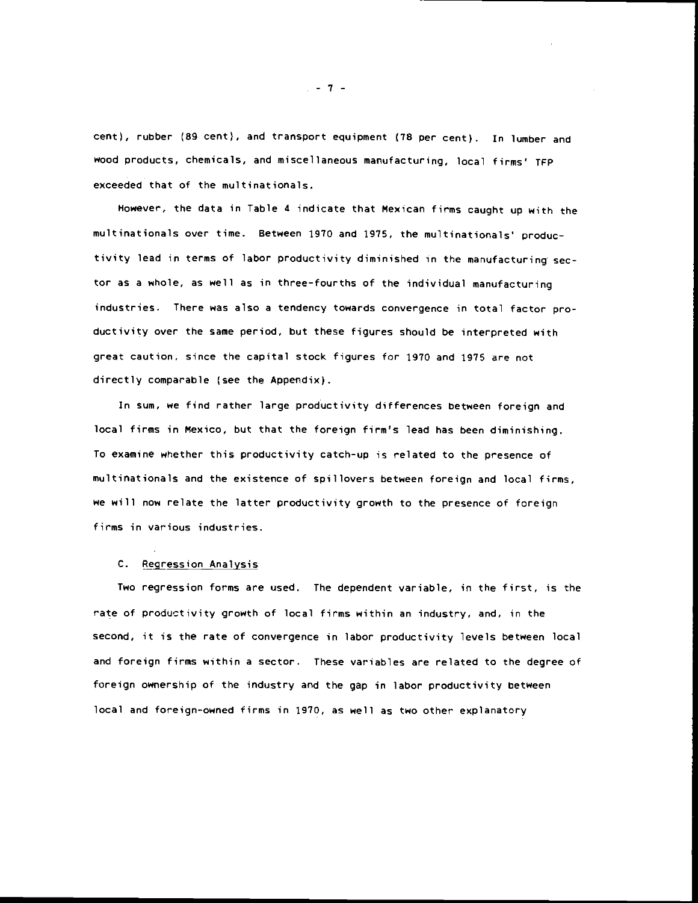cent), rubber (89 cent), and transport equipment (78 per cent). In lumber and wood products, chemicals, and miscellaneous manufacturing, local firms' TFP exceeded that of the multinationals.

However, the data in Table 4 indicate that Mexican firms caught up with the multinationals over time. Between 1910 and 1975, the multinationals' productivity lead in terms of labor productivity diminished in the manufacturing sector as a whole, as well as in three—fourths of the individual manufacturing industries. There was also a tendency towards convergence in total factor productivity over the same period, but these figures should be interpreted with great caution, since the capital stock figures for 1970 and 1975 are not directly comparable (see the Appendix).

In sum, we find rather large productivity differences between foreign and local firms in Mexico, but that the foreign firm's lead has been diminishing. To examine whether this productivity catch—up is related to the presence of multinationals and the existence of spillovers between foreign and local firms, we will now relate the latter productivity growth to the presence of foreign firms in various industries.

#### C. Regression Analysis

Two regression forms are used. The dependent variable, in the first, is the rate of productivity growth of local firms within an industry, and, in the second, it is the rate of convergence in labor productivity levels between local and foreign firms within a sector. These variables are related to the degree of foreign ownership of the industry and the gap in labor productivity between local and foreign-owned firms in 1970, as well as two other explanatory

 $-7 -$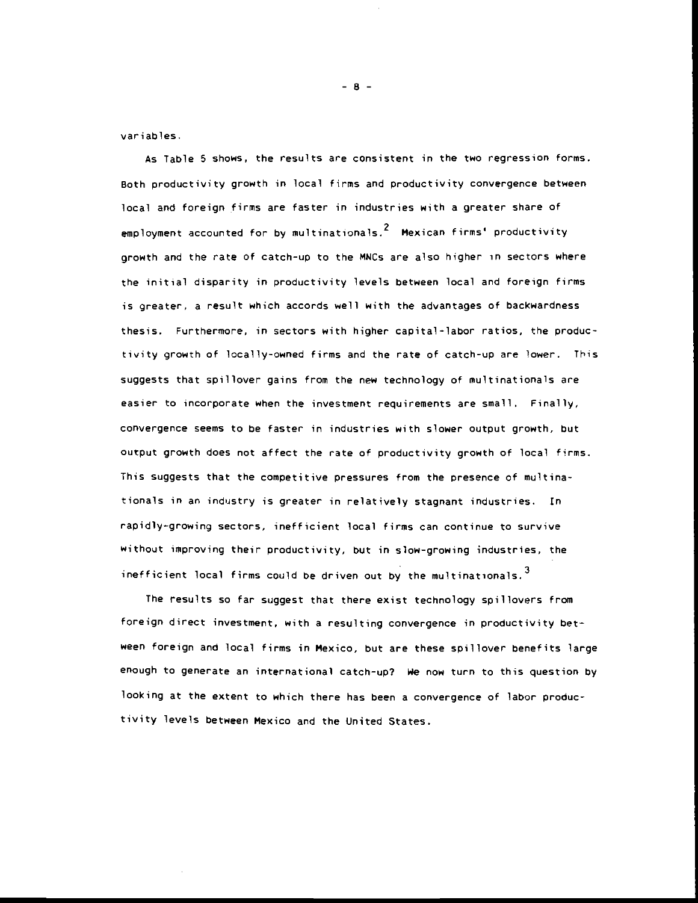variables.

As Table 5 shows, the results are consistent in the two regression forms. Both productivity growth in local firms and productivity convergence between local and foreign firms are faster in industries with a greater share of employment accounted for by multinationals. $^2$  Mexican firms' productivity. growth and the rate of catch-up to the MNCs are also higher in sectors where the initial disparity in productivity levels between local and foreign firms is greater, a result which accords well with the advantages of backwardness thesis. Furthermore, in sectors with higher capital-labor ratios, the productivity growth of locally-owned firms and the rate of catch-up are lower. This suggests that spillover gains from the new technology of multinationals are easier to incorporate when the investment requirements are small. Finally, convergence seems to be faster in industries with slower output growth, but output growth does not affect the rate of productivity growth of local firms. This suggests that the competitive pressures from the presence of multinationals in an industry is greater in relatively stagnant industries, In rapidly—growing sectors, inefficient local firms can continue to survive without improving their productivity, but in slow-growing industries, the inefficient local firms could be driven out by the multinationals.  $3$ 

The results so far suggest that there exist technology spillovers from foreign direct investment, with a resulting convergence in productivity between foreign and local firms in Mexico, but are these spillover benefits large enough to generate an international catch—up? We now turn to this question by looking at the extent to which there has been a convergence of labor productivity levels between Mexico and the United States.

-8-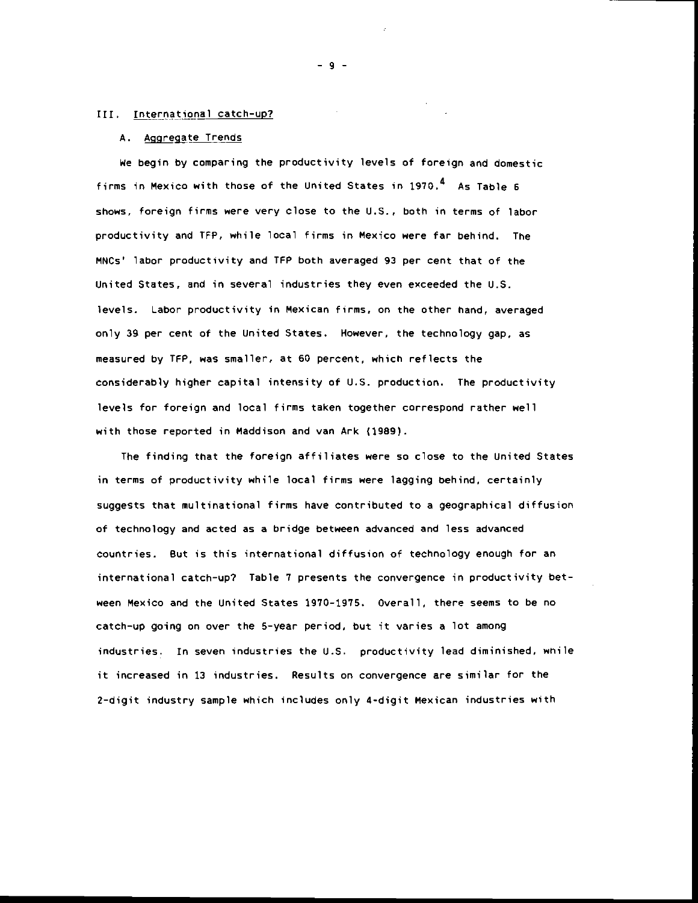#### III. International catch-up?

#### A. Aggregate Trends

We begin by comparing the productivity levels of foreign and domestic firms in Mexico with those of the United States in  $1970<sup>4</sup>$  As Table 6 shows, foreign firms were very close to the U.S.. both in terms of labor productivity and TFP, while local firms in Mexico were far behind. The MNCs' labor productivity and TFP both averaged 93 per cent that of the United States, and in several industries they even exceeded the U.S. levels. Labor productivity in Mexican firms, on the other hand, averaged only 39 per cent of the United States. However, the technology gap, as measured by TPP, was smaller, at 60 percent, which reflects the considerably higher capital intensity of U.S. production. The productivity levels for foreign and local firms taken together correspond rather well with those reported in Maddison and van Ark (1989).

The finding that the foreign affiliates were so close to the United States in terms of productivity while local firms were lagging behind, certainly suggests that multinational firms have contributed to a geographical diffusion of technology and acted as a bridge between advanced and less advanced countries. But is this international diffusion of technology enough for an international catch—up? Table 7 presents the convergence in productivity between Mexico and the United States 1970—1975. Overall, there seems to be no catch—up going on over the 5-year period, but it varies a lot among industries. In seven industries the U.S. productivity lead diminished, wnile it increased in 13 industries. Results on convergence are similar for the 2-digit industry sample which includes only 4-digit Mexican industries with

-9-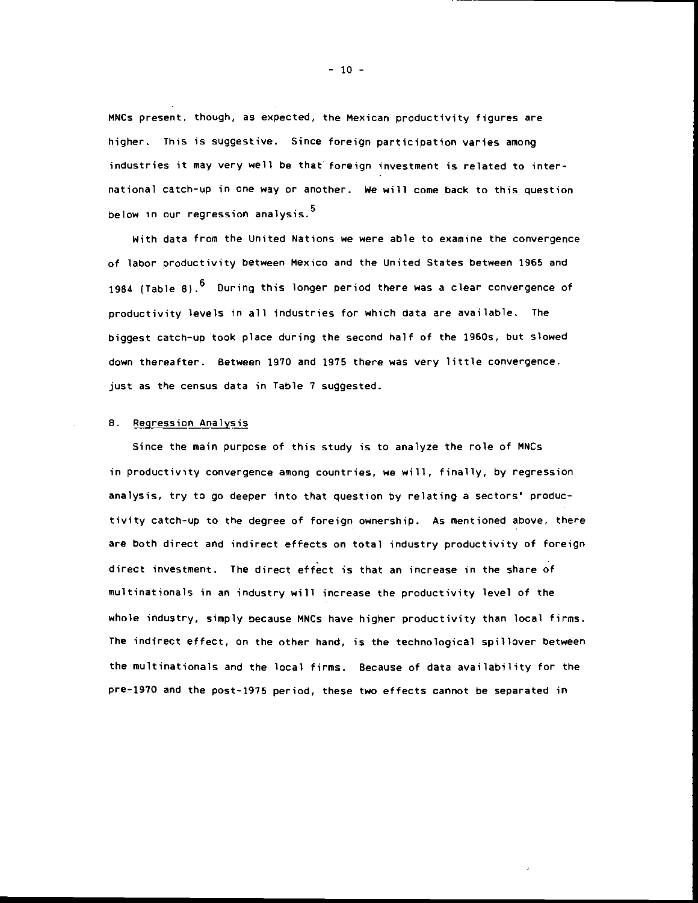MNCs present. though, as expected, the Mexican productivity figures are higher. This is suggestive. Since foreign participation varies among industries it may very well be that foreign investment is related to international catch-up in one way or another. We will come back to this question below in our regression analysis.<sup>5</sup>

With data from the United Nations we were able to examine the convergence of labor productivity between Mexico and the United States between 1965 and 1984 (Table 8).  $6$  During this longer period there was a clear convergence of productivity levels in all industries for which data are available. The biggest catch—up took place during the second half of the 1960s, but slowed down thereafter. Between 1910 and 1975 there was very little convergence, just as the census data in Table 7 suggested.

#### B. Regression Analysis

Since the main purpose of this study is to analyze the role of MNCs in productivity convergence among countries, we will, finally, by regression analysis, try to go deeper into that question by relating a sectors' productivity catch-up to the degree of foreign ownership. As mentioned above, there are both direct and indirect effects on total industry productivity of foreign direct investment. The direct effect is that an increase in the share of multinationals in an industry will increase the productivity level of the whole industry, simply because MNCs have higher productivity than local firms. The indirect effect, on the other hand, is the technological spillover between the multinationals and the local firms. Because of data availability for the pre-1970 and the post-1975 period, these two effects cannot be separated in

 $-10 -$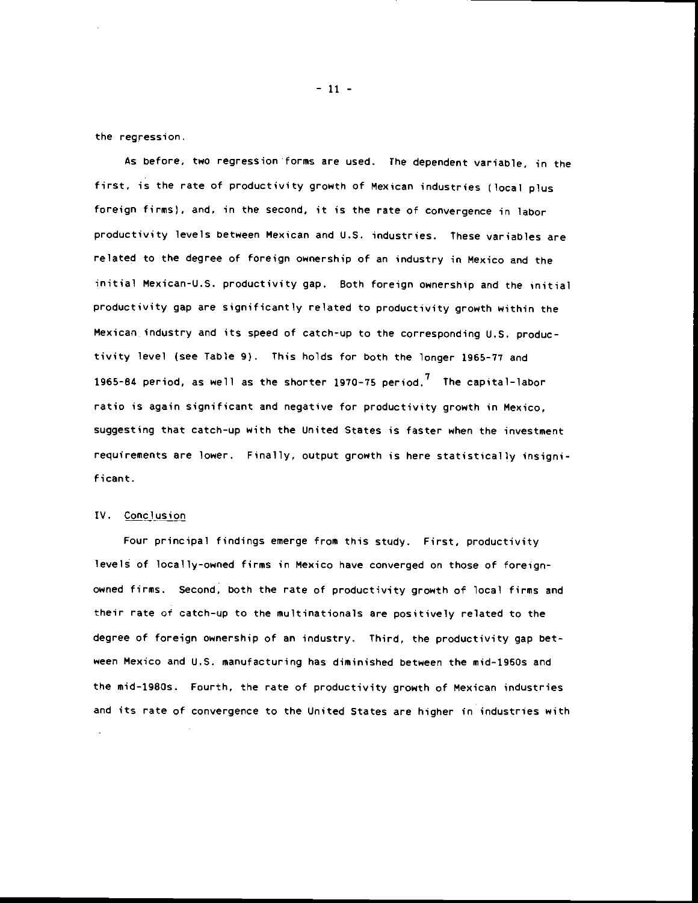the regression.

As before, two regression forms are used. The dependent variable, in the first, is the rate of productivity growth of Mexican industries (local plus foreign firms), and, in the second, it is the rate of Convergence in labor productivity levels between Mexican and U.S. industries. These variables are related to the degree of foreign ownership of an industry in Mexico and the initial Mexican-U.S. productivity gap. Both foreign ownership and the initial productivity gap are significantly related to productivity growth within the Mexican industry and its speed of catch-up to the corresponding U.S. productivity level (see Table 9). This holds for both the longer 1965-77 and 1965-84 period, as well as the shorter 1970-75 period.<sup>7</sup> The capital-labor ratio is again significant and negative for productivity growth in Mexico, suggesting that catch—up with the United States is faster when the investment requirements are lower. Finally, output growth is here statistically insignificant.

#### IV. Conclusion

Four principal findings emerge from this study. First, productivity levels of locally-owned firms in Mexico have converged on those of foreignowned firms. Second, both the rate of productivity growth of local firms and their rate of catch—up to the multinationals are positively related to the degree of foreign ownership of an industry. Third, the productivity gap between Mexico and U.S. manufacturing has diminished between the mid-1950s and the mid—1980s. Fourth, the rate of productivity growth of Mexican industries and its rate of convergence to the United States are higher in industries with

— 11 —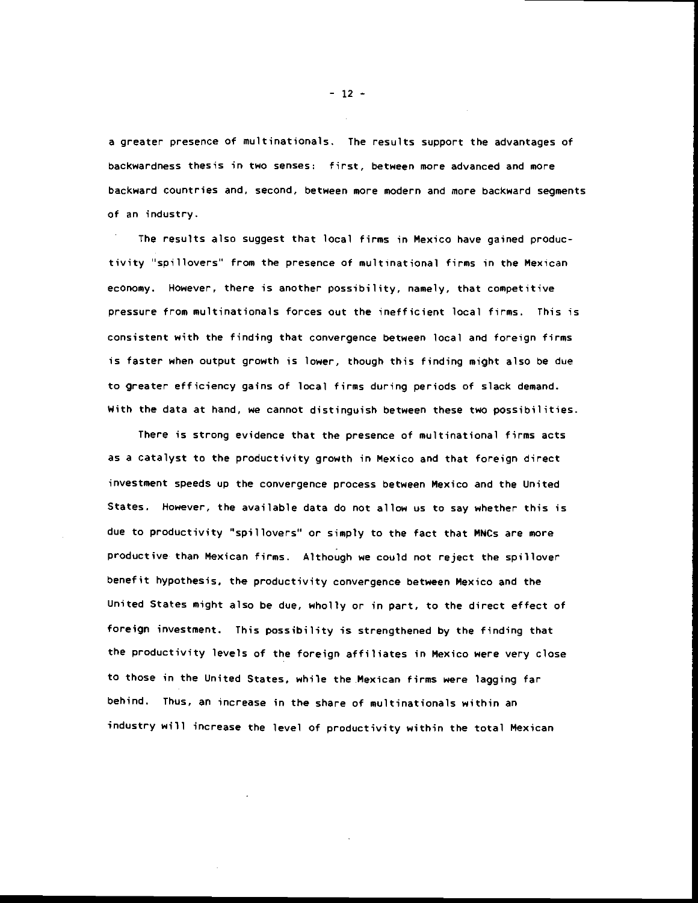a greater presence of multinationals. The results support the advantages of backwardness thesis in two senses: first, between more advanced and more backward countries and, second, between more modern and more backward segments of an industry.

The results also suggest that local firms in Mexico have gained productivity "spillovers' from the presence of multinational firms in the Mexican economy. However, there is another possibility, namely, that competitive pressure from multinationals forces out the inefficient local firms. This is consistent with the finding that convergence between local and foreign firms is faster when output growth is lower, though this finding might also be due to greater efficiency gains of local firms during periods of slack demand. With the data at hand, we cannot distinguish between these two possibilities.

There is strong evidence that the presence of multinational firms acts as a catalyst to the productivity growth in Mexico and that foreign direct investment speeds up the convergence process between Mexico and the United States. However, the available data do not allow us to say whether this is due to productivity 'spillovers" or simply to the fact that MNCs are more productive than Mexican firms. Although we could not reject the spillover benefit hypothesis, the productivity convergence between Mexico and the United States might also be due, wholly or in part, to the direct effect of foreign investment. This possibility is strengthened by the finding that the productivity levels of the foreign affiliates in Mexico were very close to those in the United States, while the Mexican firms were lagging far behind. Thus, an increase in the share of multinationals within an industry will increase the level of productivity within the total Mexican

 $-12 -$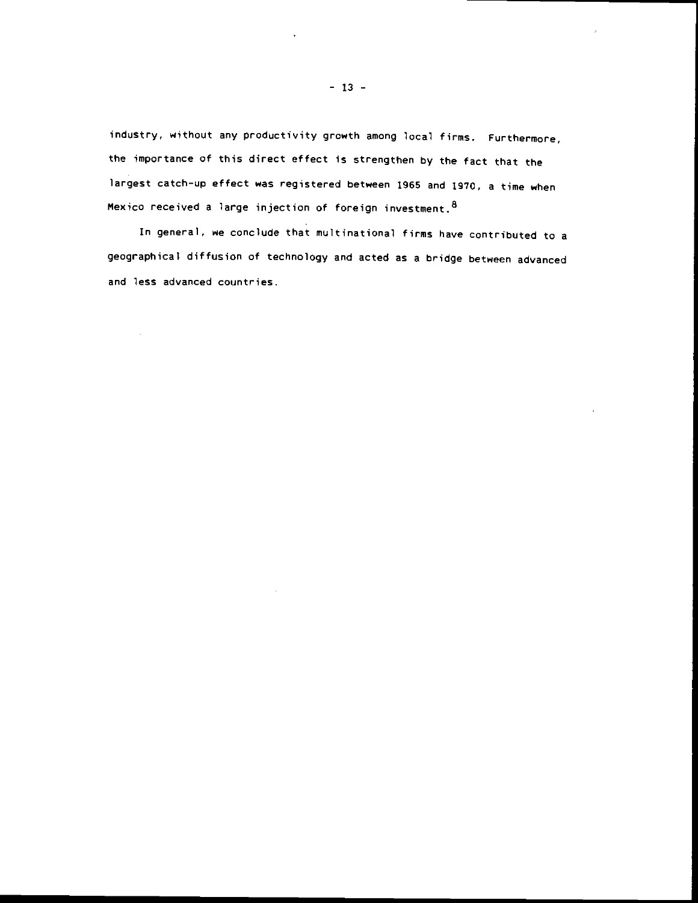industry, without any productivity growth among local firms. Furthermore, the importance of this direct effect is strengthen by the fact that the largest catch-up effect was registered between 1965 and 1970, a time when Mexico received a large injection of foreign investment. 8

In general, ne conclude that multinational firms have contributed to a geographical diffusion of technology and acted as a bridge between advanced and less advanced countries.

 $\hat{\boldsymbol{\beta}}$ 

 $\sim$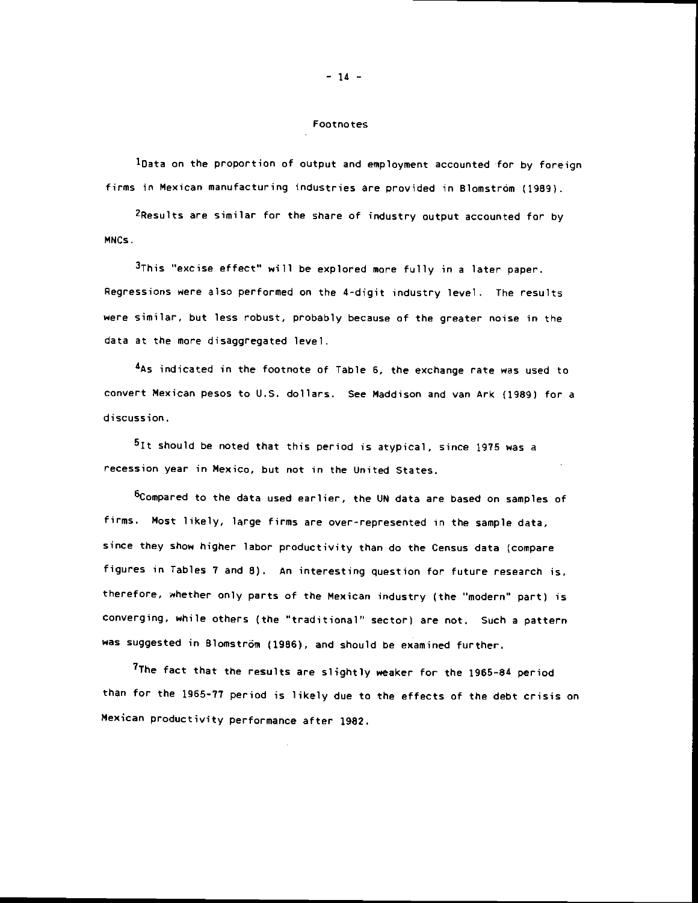#### Footnotes

'Data on the proportion of output and employment accounted for by foreign firms in Mexican manufacturing industries are provided in Blomstróm (1989).

2Results are similar for the share of industry output accounted for by MNCs.

 $3$ This "excise effect" will be explored more fully in a later paper. Regressions were also performed on the 4-digit industry level. The results were similar, but less robust, probably because of the greater noise in the data at the more disaggregated level.

4As indicated in the footnote of Table 6, the exchange rate was used to convert Mexican pesos to U.S. dollars. See Maddison and van Ark (1989) for a discussion.

<sup>5</sup>It should be noted that this period is atypical, since 1975 was a recession year in Mexico, but not in the United States.

<sup>6</sup>Compared to the data used earlier, the UN data are based on samples of firms. Most likely, large firms are over-represented in the sample data, since they show higher labor productivity than do the Census data (compare figures in Tables 7 and 8). An interesting question for future research is, therefore, whether only parts of the Mexican industry (the "modern" part) is converging, while others (the 'traditional' sector) are not. Such a pattern was suggested in Blomström (1986), and should be examined further.

<sup>7</sup>The fact that the results are slightly weaker for the 1965-84 period than for the 1965-77 period is likely due to the effects of the debt crisis on Mexican productivity performance after 1982.

# $-14 -$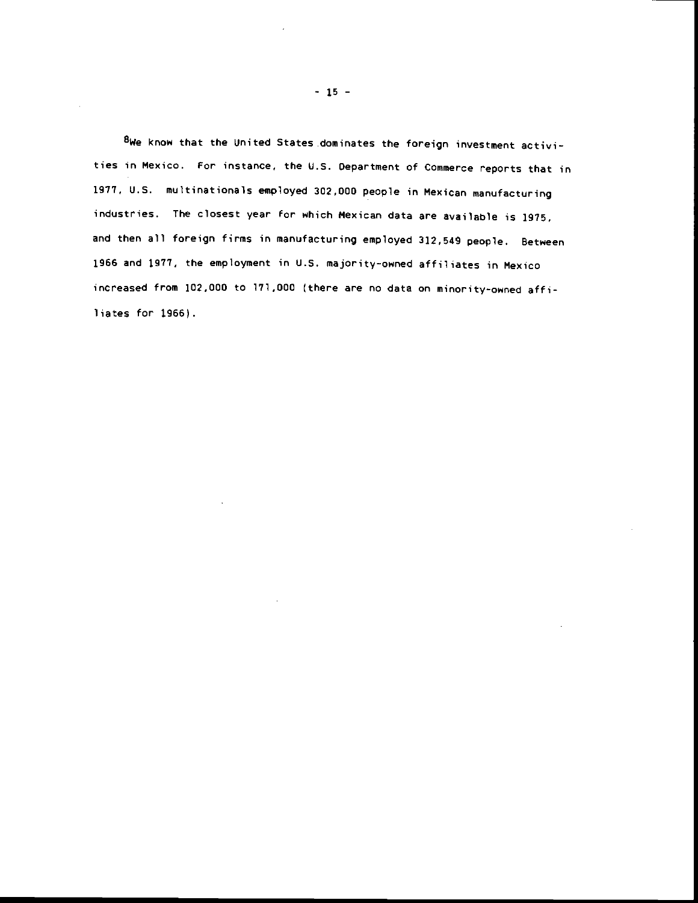8We know that the United States dominates the foreign investment activities in Mexico. For instance, the U.S. Department of Commerce reports that in 1917, U.S. multinationals employed 302,000 people in Mexican manufacturing industries. The closest year for which Mexican data are available is 1975, and then all foreign firms in manufacturing employed 312,549 people. Between 1966 and 1977, the employment in U.S. majority-owned affiliates in Mexico increased from 102.000 to 171,000 (there are no data on minority-owned aff iliates for 1966).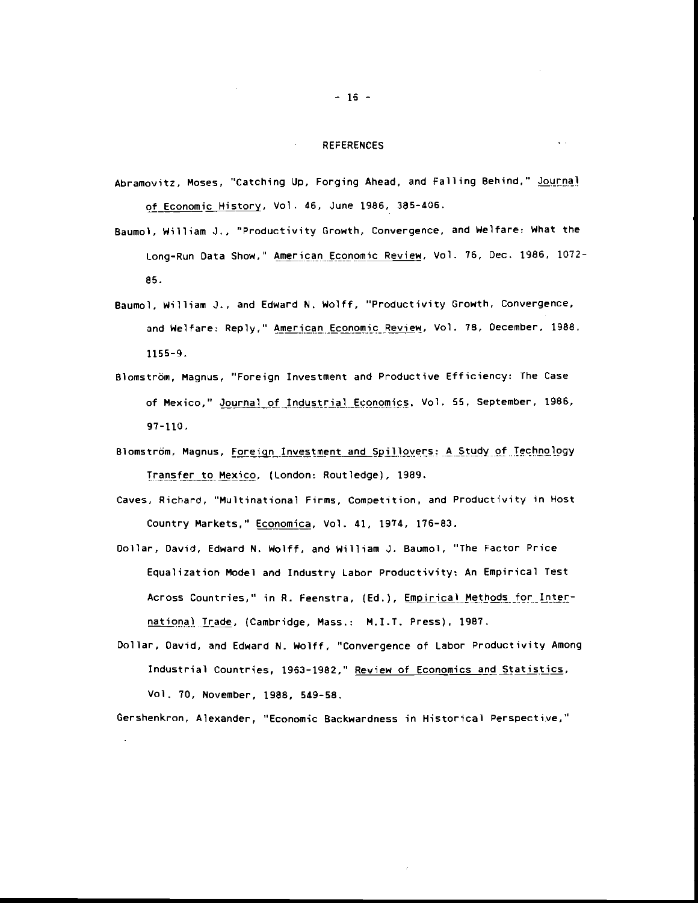### REFERENCES

 $\sim$ 

 $\sim 10$ 

- Abramovitz, Moses, "Catching Up, Forging Ahead, and Falling Behind." Journal of Economic History, Vol. 46, June 1986, 385-406.
- Baumol, William J., "Productivity Growth, Convergence, and Welfare: What the Long-Run Data Show," American Economic Review. Vol. 76, Dec. 1986, 1072-85.
- Baumol, William 3., and Edward N. Wolff, "Productivity Growth, Convergence, and Welfare: Reply," American Economic Review, Vol. 78, December, 1988. 1155-9.
- Blomstrdm, Magnus, "Foreign Investment and Productive Efficiency: The Case of Mexico." Journal of Industrial Economics. Vol. S5, September, 1986, 97-110.
- Blomström, Magnus, Foreign Investment and Spillovers: A Study of Technology Transfer to Mexico, (London: Routledge), 1989.
- Caves, Richard, "Multinational Firms, Competition, and Productivity in Host Country Markets," Economica, Vol. 41, 1974, 176-83.
- Dollar, David, Edward N. Wolff, and William 3. Baumol, "The Factor Price Equalization Model and Industry Labor Productivity: An Empirical Test Across Countries," in R. Feenstra, (Ed.), Empirical Methods for International Trade, (Cambridge, Mass.: M.I.T. Press), 1987.
- Dollar. David, and Edward N. Wolff, "Convergence of Labor Productivity Among Industrial Countries, 1963-1982," Review of Economics and Statistics, Vol. 70, November, 1988, 549-58.

Gershenkron, Alexander, "Economic Backwardness in Historical Perspective,"

 $\sim 10$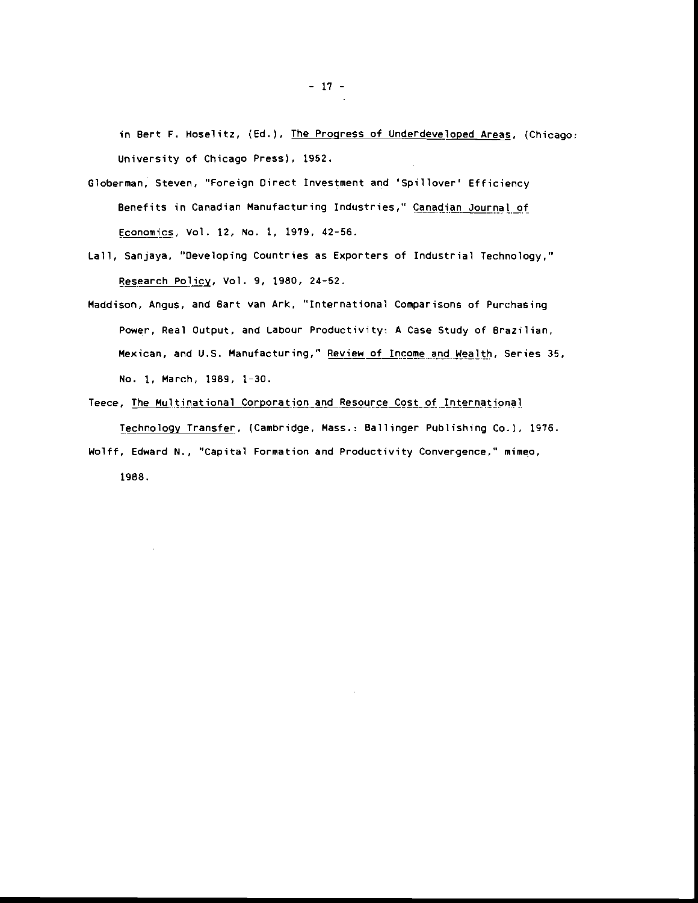in Bert F. Hoselitz, (Ed.), The Progress of Underdeveloped Areas, (Chicago: University of Chicago Press), 1952.

- Globerman, Steven, "Foreign Oirect Investment and 'Spillover' Efficiency Benefits in Canadian Manufacturing Industries," Canadian Journal of Economics, Vol. 12, No. 1, 1979, 42-56.
- Lall, Sanjaya, "Developing Countries as Exporters of Industrial Technology," Research Policy, Vol. 9, 1980, 24-52.
- Maddison, Angus. and Bart van Ark, "International Comparisons of Purchasing Power, Real Output, and Labour Productivity: A Case Study of Brazilian, Mexican, and U.S. Manufacturing," Review of Income and Wealth, Series 35, No. 1, March, 1989, 1-30.
- Teece, The Multinational Corporation and Resource Cost of International Technology Transfer, (Cambridge, Mass.: Ballinger Publishing Co.), 1976. Wolff, Edward N., "Capital Formation and Productivity Convergence," mimeo,

1988.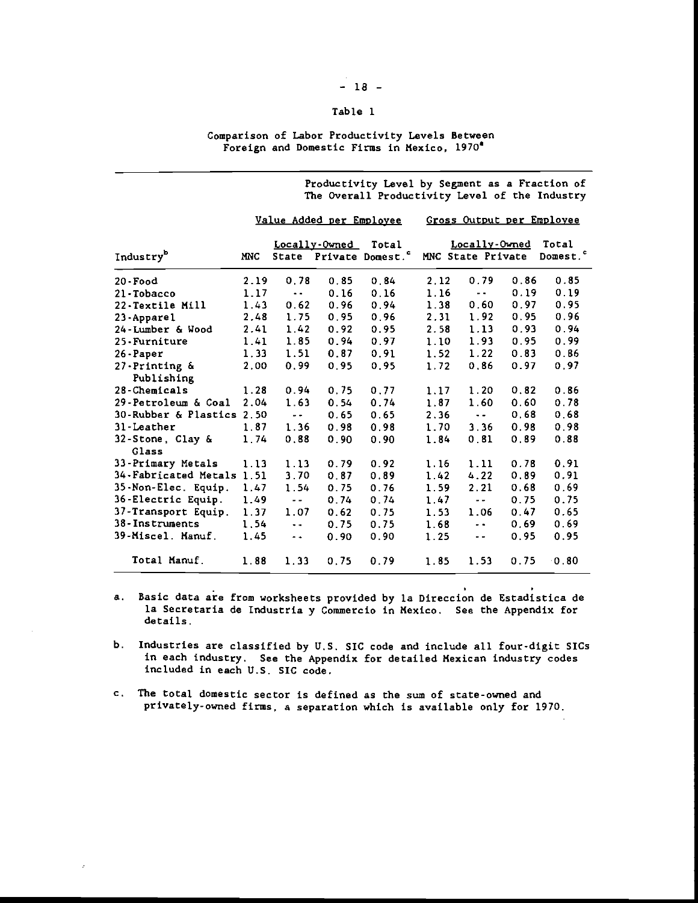### Table I

#### Comparison of Labor Productivity Levels Between Foreign and Domestic Firms in Mexico, 1970'

Productivity Level by Segment as a Fraction of The Overall Productivity Level of the Industry

|                             |            |                     | Value Added per Employee |                                             |      |                                            |      | Gross Output per Employee     |
|-----------------------------|------------|---------------------|--------------------------|---------------------------------------------|------|--------------------------------------------|------|-------------------------------|
| Industry <sup>b</sup>       | <b>MNC</b> |                     | Locally Owned            | Total<br>State Private Domest. <sup>c</sup> |      | Loc <u>ally-Owned</u><br>MNC State Private |      | Total<br>Domest. <sup>c</sup> |
| $20$ -Food                  | 2.19       | 0.78                | 0.85                     | 0.84                                        | 2.12 | 0.79                                       | 0.86 | 0.85                          |
| 21-Tobacco                  | 1.17       | $\ddotsc$           | 0.16                     | 0.16                                        | 1.16 | $ -$                                       | 0.19 | 0.19                          |
| 22-Textile Mill             | 1.43       | 0.62                | 0.96                     | 0.94                                        | 1.38 | 0.60                                       | 0.97 | 0.95                          |
| 23-Apparel                  | 2.48       | 1.75                | 0.95                     | 0.96                                        | 2.31 | 1.92                                       | 0.95 | 0.96                          |
| 24-Lumber & Wood            | 2.41       | 1.42                | 0.92                     | 0.95                                        | 2.58 | 1.13                                       | 0.93 | 0.94                          |
| 25-Furniture                | 1.41       | 1.85                | 0.94                     | 0.97                                        | 1.10 | 1.93                                       | 0.95 | 0.99                          |
| $26$ -Paper                 | 1.33       | 1.51                | 0.87                     | 0.91                                        | 1.52 | 1.22                                       | 0.83 | 0.86                          |
| 27-Printing &<br>Publishing | 2,00       | 0.99                | 0.95                     | 0.95                                        | 1.72 | 0.86                                       | 0.97 | 0.97                          |
| 28-Chemicals                | 1.28       | 0.94                | 0.75                     | 0.77                                        | 1.17 | 1.20                                       | 0.82 | 0.86                          |
| 29-Petroleum & Coal         | 2.04       | 1.63                | 0.54                     | 0.74                                        | 1.87 | 1.60                                       | 0.60 | 0.78                          |
| 30-Rubber & Plastics 2.50   |            | $\sim$ $\sim$       | 0.65                     | 0.65                                        | 2.36 | $\sim$ $\sim$                              | 0.68 | 0.68                          |
| 31-Leather                  | 1.87       | 1.36                | 0.98                     | 0.98                                        | 1.70 | 3.36                                       | 0.98 | 0.98                          |
| 32-Stone, Clay &<br>Glass   | 1.74       | 0.88                | 0.90                     | 0.90                                        | 1.84 | 0.81                                       | 0.89 | 0.88                          |
| 33-Primary Metals           | 1.13       | 1.13                | 0.79                     | 0.92                                        | 1.16 | 1.11                                       | 0.78 | 0.91                          |
| 34-Fabricated Metals 1.51   |            | 3.70                | 0.87                     | 0.89                                        | 1.42 | 4.22                                       | 0.89 | 0.91                          |
| 35-Non-Elec. Equip. 1.47    |            | 1.54                | 0.75                     | 0.76                                        | 1.59 | 2.21                                       | 0.68 | 0.69                          |
| 36-Electric Equip.          | 1.49       | $\sim$ $\sim$       | 0.74                     | 0.74                                        | 1.47 | $\sim$ $\sim$ $-$                          | 0.75 | 0.75                          |
| 37-Transport Equip.         | 1.37       | 1.07                | 0.62                     | 0.75                                        | 1.53 | 1.06                                       | 0.47 | 0.65                          |
| 38-Instruments              | 1.54       | $\bullet$ $\bullet$ | 0.75                     | 0.75                                        | 1.68 | $\sim 10^{-1}$                             | 0.69 | 0.69                          |
| <b>39-Miscel. Manuf.</b>    | 1.45       | $\sim$ $\sim$       | 0.90                     | 0.90                                        | 1.25 | $\sim$ $\sim$                              | 0.95 | 0.95                          |
| Total Manuf.                | 1.88       | 1.33                | 0.75                     | 0.79                                        | 1.85 | 1.53                                       | 0.75 | 0.80                          |

- a. Basic data are from worksheets provided by la Direccion de Estadistica de la Secretaria de Industria y Commercio in Mexico. See the Appendix for details.
- b. Industries are classified by U.S. SIC code and include all four-digit SICs in each industry. See the Appendix for detailed Mexican industry codes included in each U.S. SIC code.
- c. The total domestic sector is defined as the sum of state-owned and privately-owned firms, a separation which is available only for 1970.

### $-18 -$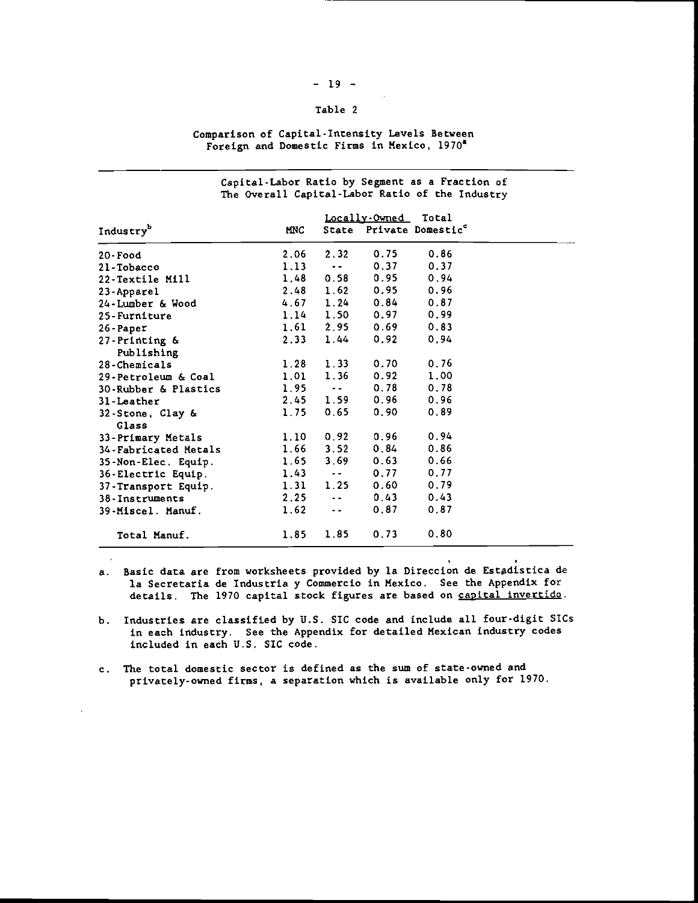# $-19 -$

# Table 2

### Comparison of Capital-Intensity Levels between Foreign and Domestic Firms in Mexico, 1970'

|                       |            |                   | Locally-Owned Total |                               |  |
|-----------------------|------------|-------------------|---------------------|-------------------------------|--|
| Industry <sup>b</sup> | <b>MNC</b> | State             |                     | Private Domestic <sup>e</sup> |  |
| 20-Food               | 2.06       | 2.32              | 0.75                | 0.86                          |  |
| 21-Tobacco            | 1.13       | $\omega = 1$      | 0.37                | 0.37                          |  |
| 22-Textile Mill       | 1.48       | 0.58              | 0.95                | 0.94                          |  |
| 23-Apparel            | 2.48       | 1.62              | 0.95                | 0.96                          |  |
| 24-Lumber & Wood      |            | $4.67$ 1.24       | 0.84                | 0.87                          |  |
| 25-Furniture          |            | $1.14$ 1.50       | 0.97                | 0.99                          |  |
| $26$ -Paper           | 1.61       | 2.95              | 0.69                | 0.83                          |  |
| 27-Printing &         | 2.33       | $1.44 -$          | 0.92                | 0.94                          |  |
| Publishing            |            |                   |                     |                               |  |
| 28-Chemicals          | 1.28       | 1.33              | 0.70                | 0.76                          |  |
| 29-Petroleum & Coal   | 1.01       | 1.36              | 0.92                | 1.00                          |  |
| 30-Rubber & Plastics  | 1.95       | المتعادل          | 0.78                | 0.78                          |  |
| 31-Leather            | 2,45       | 1.59              | 0.96                | 0.96                          |  |
| 32-Stone, Clay &      | 1.75       | 0.65              | 0.90                | 0.89                          |  |
| Glass                 |            |                   |                     |                               |  |
| 33-Primary Metals     | 1.10       | 0.92              | 0.96                | 0.94                          |  |
| 34-Fabricated Metals  | 1.66       | 3.52              | 0.84                | 0.86                          |  |
| 35-Non-Elec. Equip.   | 1.65       | 3.69              | 0.63                | 0.66                          |  |
| 36-Electric Equip.    | 1.43       | $\sim 10^{-10}$   | $0.77 -$            | 0.77                          |  |
| 37-Transport Equip.   |            | $1.31 \quad 1.25$ | 0.60                | 0.79                          |  |
| $38 -$ Instruments    | 2.25       | $\sim$ $\sim$     | 0.43                | 0.43                          |  |
| 39-Miscel. Manuf.     | 1.62       | $\sim$ $\sim$     | 0.87                | 0.87                          |  |
| Total Manuf.          | 1.85       | 1.85              | 0.73                | 0.80                          |  |

## Capital-Labor Ratio by Segment as a Fraction of The Overall Cap ital-Labor Ratio of the Indu stry

- a. Basic data are from worksheets provided by la Direccion de Estadistica de la Secretaria de Industria y Commercio in Mexico. See the Appendix for details. The 1970 capital stock figures are based on capital invertido.
- b. Industries are classified by U.S. SIC code and include all four-digit SICs in each industry. See the Appendix for detailed Mexican industry codes included in each U.S. SIC code.
- c. The total domestic sector is defined as the sum of state-owned and privately-owned firms, a separation which is available only for 1970.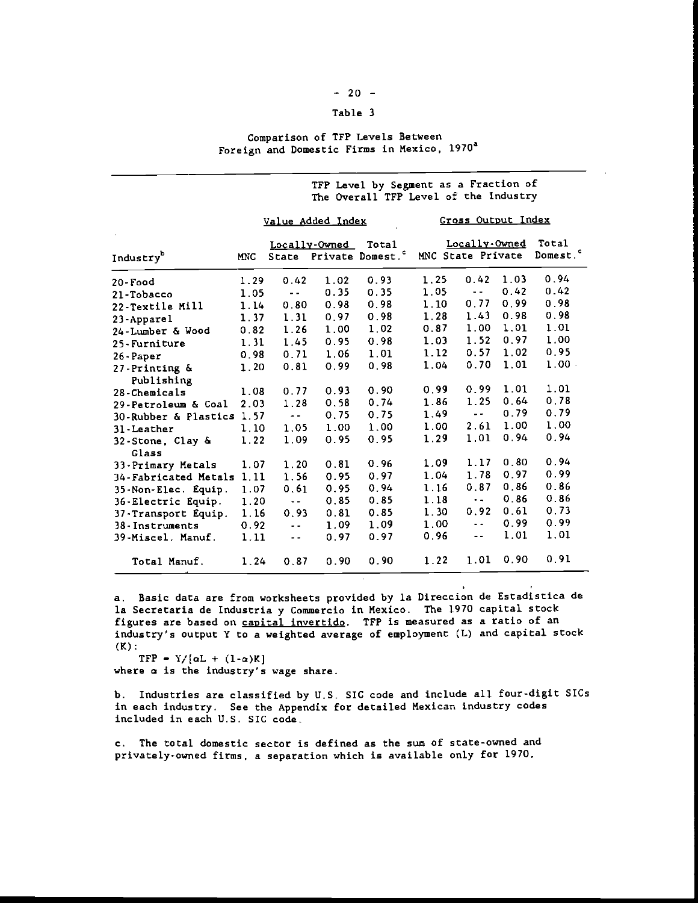# $-20 -$

## Table <sup>3</sup>

### Comparison of TFP Levels Between Foreign and Domestic Firms in Mexico, 1970<sup>a</sup>

|                             |            |               |                   | TFP Level by Segment as a Fraction of<br>The Overall TFP Level of the Industry |      |                                    |      |                               |
|-----------------------------|------------|---------------|-------------------|--------------------------------------------------------------------------------|------|------------------------------------|------|-------------------------------|
|                             |            |               | Value Added Index |                                                                                |      | Gross Output Index                 |      |                               |
| Industry <sup>b</sup>       | <b>MNC</b> |               | Locally-Owned     | Total<br>State Private Domest. <sup>c</sup>                                    |      | Locally-Owned<br>MNC State Private |      | Total<br>Domest. <sup>c</sup> |
| 20-Food                     | 1.29       | 0.42          | 1.02              | 0.93                                                                           | 1.25 | 0.42                               | 1.03 | 0.94                          |
| 21-Tobacco                  | 1.05       | $\sim$ $-$    | 0.35              | 0.35                                                                           | 1.05 | $\sim$ $-$                         | 0.42 | 0.42                          |
| 22-Textile Mill             | 1.14       | 0.80          | 0.98              | 0.98                                                                           | 1.10 | 0.77                               | 0.99 | 0.98                          |
| 23-Apparel                  | 1.37       | 1.31          | 0.97              | 0.98                                                                           | 1.28 | 1.43                               | 0.98 | 0.98                          |
| 24-Lumber & Wood            | 0.82       | 1.26          | 1.00              | 1.02                                                                           | 0.87 | 1.00                               | 1.01 | 1.01                          |
| 25-Furniture                | 1.31       | 1.45          | 0.95              | 0.98                                                                           | 1.03 | 1.52                               | 0.97 | 1.00                          |
| $26$ -Paper                 | 0.98       | 0.71          | 1.06              | 1.01                                                                           | 1.12 | 0.57                               | 1.02 | 0.95                          |
| 27-Printing &<br>Publishing | 1.20       | 0.81          | 0.99              | 0.98                                                                           | 1.04 | 0.70                               | 1.01 | 1.00                          |
| 28-Chemicals                | 1.08       | 0.77          | 0.93              | 0.90                                                                           | 0.99 | 0.99                               | 1.01 | 1.01                          |
| 29-Petroleum & Coal         | 2.03       | 1.28          | 0.58              | 0.74                                                                           | 1.86 | 1.25                               | 0.64 | 0.78                          |
| 30-Rubber & Plastics 1.57   |            | $\sim$ $\sim$ | 0.75              | 0.75                                                                           | 1.49 | $\sim$ $-$                         | 0.79 | 0.79                          |
| 31 - Leather                | 1.10       | 1.05          | 1.00              | 1.00                                                                           | 1.00 | 2.61                               | 1.00 | 1.00                          |
| 32-Stone, Clay &<br>Glass   | 1.22       | 1.09          | 0.95              | 0.95                                                                           | 1.29 | 1.01                               | 0.94 | 0.94                          |
| 33-Primary Metals           | 1.07       | 1.20          | 0.81              | 0.96                                                                           | 1.09 | 1.17                               | 0.80 | 0.94                          |
| 34-Fabricated Metals 1.11   |            | 1.56          | 0.95              | 0.97                                                                           | 1.04 | 1.78                               | 0.97 | 0.99                          |
| 35-Non-Elec. Equip.         | 1.07       | 0.61          | 0.95              | 0.94                                                                           | 1.16 | 0.87                               | 0.86 | 0.86                          |
| 36-Electric Equip.          | 1.20       | $\sim$ $-$    | 0.85              | 0.85                                                                           | 1.18 | $\sim$ $\sim$                      | 0.86 | 0.86                          |
| 37-Transport Equip.         | 1.16       | 0.93          | 0.81              | 0.85                                                                           | 1.30 | 0.92                               | 0.61 | 0.73                          |
| 38-Instruments              | 0.92       | $\sim$ $\sim$ | 1.09              | 1.09                                                                           | 1.00 | $\sim$ $\sim$                      | 0.99 | 0.99                          |
| 39-Miscel. Manuf.           | 1.11       | $\sim$ $\sim$ | 0.97              | 0.97                                                                           | 0.96 | $\sim$ $\sim$                      | 1.01 | 1.01                          |
| Total Manuf.                | 1.24       | 0.87          | 0.90              | 0.90                                                                           | 1.22 | 1.01                               | 0.90 | 0.91                          |
|                             |            |               |                   |                                                                                |      |                                    |      |                               |

a. Basic data are from worksheets provided by la Direccion de Estadistica de Ia Secretaria de Industria y Commercio in Mexico. The 1970 capital stock figures are based on capital invertido. TFP is measured as a ratio of an industry's output Y to a weighted average of employment (L) and capital stock  $(K)$ :

TFP =  $Y/[\alpha L + (1-\alpha)K]$ 

where a is the industry's wage share.

b. Industries are classified by U.S. SIC code and include all four-digit SICs in each industry. See the Appendix for detailed Mexican industry codes included in each U.S. SIC code.

c. The total domestic sector is defined as the sum of state-owned and privately-owned firms, a separation which is available only for 1970.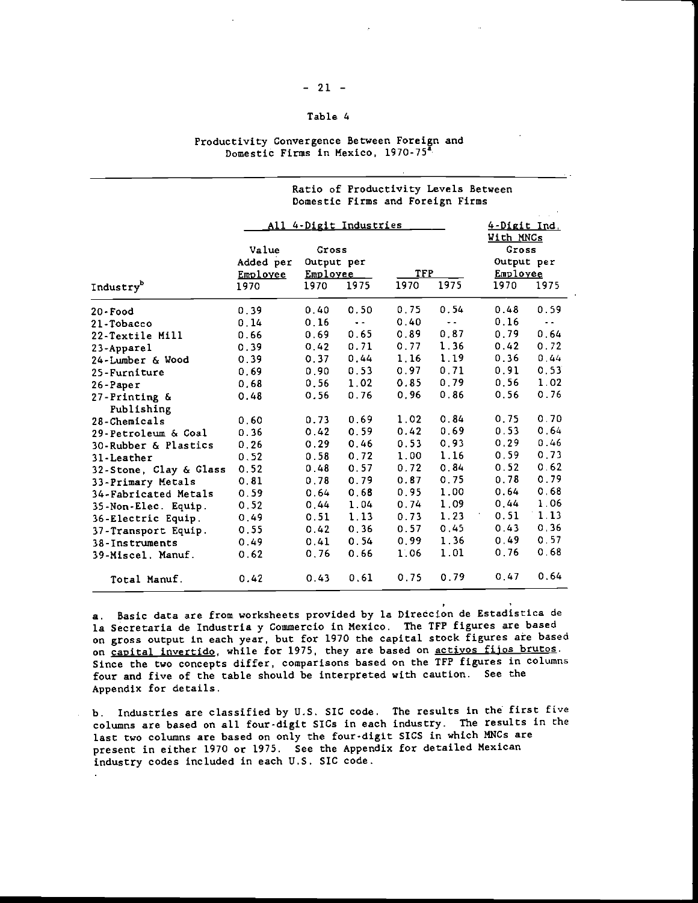# $-21 -$

### Table 4

### Productivity Convergence Between Foreign and Domestic Firms in Mexico, 1970-75"

|                             |           | All 4-Digit Industries |               |      |               |                    |               |  |  |
|-----------------------------|-----------|------------------------|---------------|------|---------------|--------------------|---------------|--|--|
|                             | Value     | Gross                  |               |      |               | With MNCs<br>Gross |               |  |  |
|                             | Added per | Output per             |               |      |               | Output per         |               |  |  |
|                             | Employee  | Employee               |               | TFP  |               | Employee           |               |  |  |
| Industry <sup>b</sup>       | 1970      | 1970                   | 1975          | 1970 | 1975          | 1970               | 1975          |  |  |
| $20$ - Food                 | 0.39      | 0.40                   | 0.50          | 0.75 | 0.54          | 0.48               | 0.59          |  |  |
| 21-Tobacco                  | 0.14      | 0.16                   | $\sim$ $\sim$ | 0.40 | $\sim$ $\sim$ | 0.16               | $\sim$ $\sim$ |  |  |
| 22-Textile Mill             | 0.66      | 0.69                   | 0.65          | 0.89 | 0.87          | 0.79               | 0.64          |  |  |
| 23-Apparel                  | 0.39      | 0.42                   | 0.71          | 0.77 | 1.36          | 0.42               | 0.72          |  |  |
| 24-Lumber & Wood            | 0.39      | 0.37                   | 0.44          | 1.16 | 1.19          | 0.36               | 0.44          |  |  |
| 25-Furniture                | 0.69      | 0.90                   | 0.53          | 0.97 | 0.71          | 0.91               | 0.53          |  |  |
| $26$ -Paper                 | 0.68      | 0.56                   | 1.02          | 0.85 | 0.79          | 0.56               | 1.02          |  |  |
| 27-Printing &<br>Publishing | 0.48      | 0.56                   | 0.76          | 0,96 | 0.86          | 0.56               | 0.76          |  |  |
| 28-Chemicals                | 0.60      | 0.73                   | 0.69          | 1.02 | 0.84          | 0.75               | 0.70          |  |  |
| 29-Petroleum & Coal         | 0.36      | 0.42                   | 0.59          | 0.42 | 0.69          | 0.53               | 0.64          |  |  |
| 30-Rubber & Plastics        | 0.26      | 0.29                   | 0.46          | 0.53 | 0.93          | 0.29               | 0.46          |  |  |
| $31$ -Leather               | 0.52      | 0.58                   | 0.72          | 1.00 | 1.16          | 0.59               | 0.73          |  |  |
| 32-Stone, Clay & Glass      | 0.52      | 0.48                   | 0.57          | 0.72 | 0.84          | 0.52               | 0.62          |  |  |
| 33-Primary Metals           | 0.81      | 0.78                   | 0.79          | 0.87 | 0.75          | 0.78               | 0.79          |  |  |
| 34-Fabricated Metals        | 0.59      | 0.64                   | 0.68          | 0.95 | 1,00          | 0.64               | 0.68          |  |  |
| 35-Non-Elec. Equip.         | 0.52      | 0.44                   | 1.04          | 0.74 | 1.09          | 0.44               | 1.06          |  |  |
| 36-Electric Equip.          | 0.49      | 0.51                   | 1.13          | 0.73 | 1.23          | 0.51               | 1.13          |  |  |
| 37-Transport Equip.         | 0.55      | 0.42                   | 0.36          | 0.57 | 0.45          | 0.43               | 0.36          |  |  |
| 38-Instruments              | 0.49      | 0.41                   | 0.54          | 0.99 | 1.36          | 0.49               | 0.57          |  |  |
| 39-Miscel. Manuf.           | 0.62      | 0.76                   | 0.66          | 1.06 | 1.01          | 0.76               | 0.68          |  |  |
| Total Manuf.                | 0.42      | 0.43                   | 0.61          | 0.75 | 0.79          | 0.47               | 0.64          |  |  |

a. Basic data are from worksheets provided by la Direccion de Estadistica de la Secretaria de Industria y Commercio in Mexico. The TFP figures are based on gross output in each year, but for 1970 the capital stock figures are based on capital invertido, while for 1975, they are based on activos fijos brutos. Since the two concepts differ, comparisons based on the TFP figures in columns four and five of the table should be interpreted with caution. See the Appendix for details.

b. Industries are classified by U.S. SIC code. The results in the first five columns are based on all four-digit SICs in each industry. The results in the last two columns are based on only the four-digit SICS in which MNCs are present in either 1970 or 1975. See the Appendix for detailed Mexican industry codes included in each U.S. SIC code.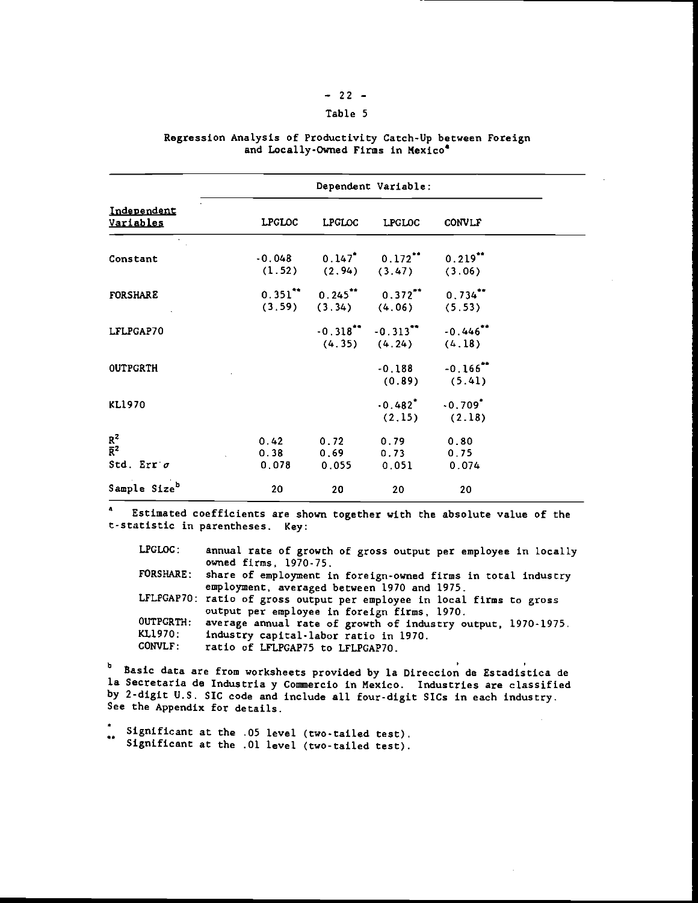# $-22 -$

### Table 5

|                                                | Dependent Variable: |               |                                                                                                    |                                       |  |  |  |  |  |  |
|------------------------------------------------|---------------------|---------------|----------------------------------------------------------------------------------------------------|---------------------------------------|--|--|--|--|--|--|
| Independent<br>Variables                       |                     | LPGLOC LPGLOC | <b>LPGLOC</b>                                                                                      | <b>CONVLF</b>                         |  |  |  |  |  |  |
| Constant                                       |                     |               | $-0.048$ $0.147$ $0.172$ $0.219$<br>$(1.52)$ $(2.94)$ $(3.47)$ $(3.06)$                            |                                       |  |  |  |  |  |  |
| <b>FORSHARE</b>                                |                     |               | $0.351$ ** $0.245$ ** $0.372$ ** $0.734$ **<br>$(3.59)$ $(3.34)$ $(4.06)$ $(5.53)$                 |                                       |  |  |  |  |  |  |
| LFLPGAP70                                      |                     |               | $-0.318$ <sup>**</sup> $-0.313$ <sup>**</sup> $-0.446$ <sup>**</sup><br>$(4.35)$ $(4.24)$ $(4.18)$ |                                       |  |  |  |  |  |  |
| <b>OUTPGRTH</b>                                |                     |               |                                                                                                    | $-0.188 - 0.166$<br>$(0.89)$ $(5.41)$ |  |  |  |  |  |  |
| KL1970                                         |                     |               | $-0.482$ <sup>*</sup> $-0.709$ <sup>*</sup>                                                        | $(2.15)$ $(2.18)$                     |  |  |  |  |  |  |
| $R^2$<br>$\overline{R}^2$<br>Std. Err $\sigma$ |                     |               | $0.42$ 0.72 0.79 0.80<br>$0.38$ $0.69$ $0.73$ $0.75$<br>$0.078$ 0.055 0.051 0.074                  |                                       |  |  |  |  |  |  |
| Sample Size <sup>b</sup>                       | 20                  | 20            | 20                                                                                                 | 20                                    |  |  |  |  |  |  |

#### Regression Analysis of Productivity Catch-Up between Foreign and Locally-Owned Firms in Mexico'

Estimated coefficients are shown together with the absolute value of the t-statistic in parentheses. Key:

| LPCLOC:        | annual rate of growth of gross output per employee in locally          |
|----------------|------------------------------------------------------------------------|
|                | owned firms. 1970-75.                                                  |
|                | FORSHARE: share of employment in foreign-owned firms in total industry |
|                | employment, averaged between 1970 and 1975.                            |
|                | LFLPGAP70: ratio of gross output per employee in local firms to gross  |
|                | output per employee in foreign firms, 1970.                            |
|                | OUTPGRTH: average annual rate of growth of industry output, 1970-1975. |
| KL1970:        | industry capital-labor ratio in 1970.                                  |
| <b>CONVLF:</b> | ratio of LFLPGAP75 to LFLPGAP70.                                       |

<sup>b</sup> Basic data are from worksheets provided by la Direccion de Estadistica de Ia Secretaria de Industria y Commercio in Mexico. Industries are classified by 2-digit U.S. SIC code and include all four-digit SICs in each industry. See the Appendix for details.

\* Significant at the .05 level (two-tailed test). Significant at the .01 level (two-tailed test).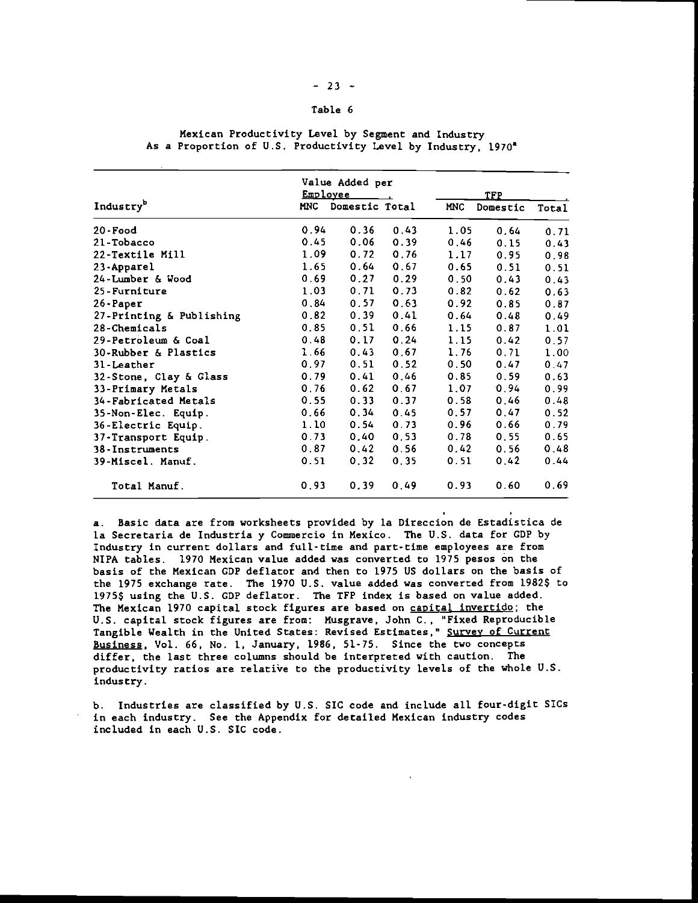#### $-23 -$

### Table 6

|                                     | Value Added per<br>Employee | TFP  |            |          |       |
|-------------------------------------|-----------------------------|------|------------|----------|-------|
| Industry <sup>b</sup><br><b>MNC</b> | Domestic Total              |      | <b>MNC</b> | Domestic | Total |
| 0.94<br>20-Food                     | 0.36                        | 0.43 | 1.05       | 0.64     | 0.71  |
| 0.45<br>21-Tobacco                  | 0.06                        | 0.39 | 0.46       | 0.15     | 0.43  |
| 1.09<br>22-Textile Mill             | 0.72                        | 0.76 | 1.17       | 0.95     | 0.98  |
| 1.65<br>23-Apparel                  | 0.64                        | 0.67 | 0.65       | 0.51     | 0.51  |
| 0.69<br>24-Lumber & Wood            | 0.27                        | 0.29 | 0.50       | 0.43     | 0.43  |
| 1.03<br>25 - Furniture              | 0.71                        | 0.73 | 0.82       | 0.62     | 0.63  |
| 0.84<br>26-Paper                    | 0.57                        | 0.63 | 0.92       | 0.85     | 0.87  |
| 0.82<br>27-Printing & Publishing    | 0.39                        | 0.41 | 0.64       | 0.48     | 0.49  |
| 0.85<br>28-Chemicals                | 0.51                        | 0.66 | 1.15       | 0.87     | 1.01  |
| 29-Petroleum & Coal<br>0.48         | 0.17                        | 0.24 | 1.15       | 0.42     | 0.57  |
| 1.66<br>30-Rubber & Plastics        | 0.43                        | 0.67 | 1.76       | 0.71     | 1.00  |
| 0.97<br>31-Leather                  | 0.51                        | 0.52 | 0.50       | 0.47     | 0.47  |
| 32-Stone, Clay & Glass<br>0.79      | 0.41                        | 0.46 | 0.85       | 0.59     | 0.63  |
| 0.76<br>33-Primary Metals           | 0.62                        | 0.67 | 1.07       | 0.94     | 0.99  |
| 0.55<br>34-Fabricated Metals        | 0.33                        | 0.37 | 0.58       | 0.46     | 0.48  |
| 0.66<br>35-Non-Elec. Equip.         | 0.34                        | 0.45 | 0.57       | 0.47     | 0.52  |
| 1.10<br>36-Electric Equip.          | 0.54                        | 0.73 | 0.96       | 0.66     | 0.79  |
| 0.73<br>37-Transport Equip.         | 0.40                        | 0.53 | 0.78       | 0.55     | 0.65  |
| 0, 87<br>38-Instruments             | 0.42                        | 0.56 | 0.42       | 0.56     | 0.48  |
| 0.51<br><b>39-Miscel. Manuf.</b>    | 0.32                        | 0.35 | 0.51       | 0.42     | 0.44  |
| 0.93<br>Total Manuf.                | 0.39                        | 0.49 | 0.93       | 0.60     | 0.69  |

Mexican Productivity Level by Segment and Industry As a Proportion of U.S. Productivity Level by Industry, 1970'

a. Basic data are from worksheets provided by la Direccion de Estadistica de la Secretaria de Industria y Commercio in Mexico. The U.S. data for CDP by Industry in current dollars and full-time and part-time employees are from NIPA tables. 1970 Mexican value added was converted to 1975 pesos on the basis of the Mexican CDP deflator and then to 1975 Us dollars on the basis of the 1975 exchange rate. The 1970 U.S. value added was converted from 1982\$ to 1975\$ using the U.S. GDP deflator. The TFP index is based on value added. The Mexican 1970 capital stock figures are based on capital invertido; the U.S. capital stock figures are from: Musgrave, John C.," Fixed Reproducible Tangible Wealth in the United States: Revised Estimates," Survey of Current Business, Vol. 66, No. 1, January, 1986, 51-75. Since the two concepts differ, the last three columns should be interpreted with caution. The productivity ratios are relative to the productivity levels of the whole U.S. industry.

b. Industries are classified by U.S. SIC code and include all four-digit 5ICs in each industry. See the Appendix for detailed Mexican industry codes included in each U.S. SIC code.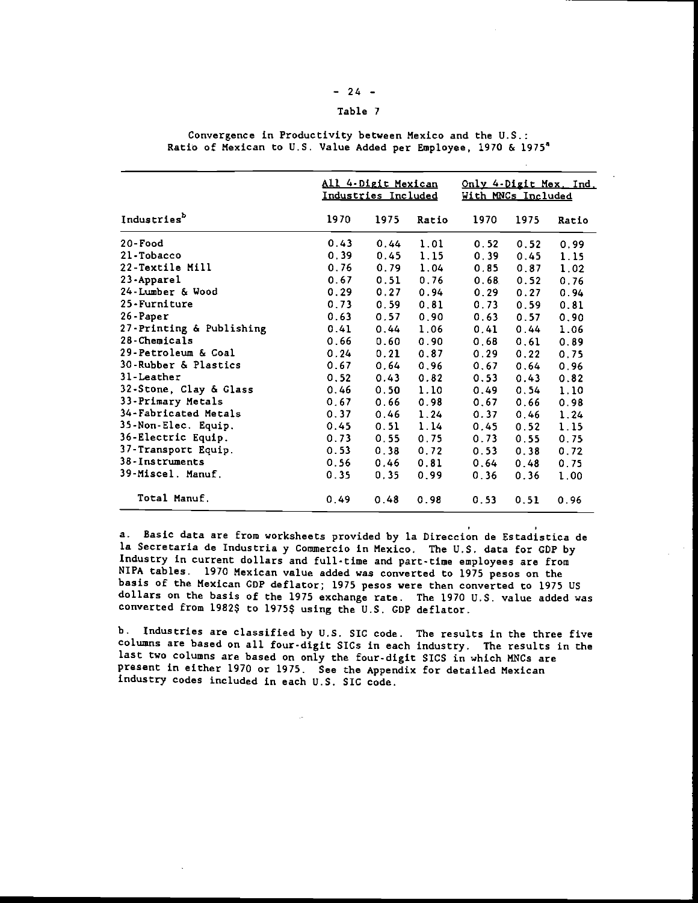# $-24 -$

# Table <sup>7</sup>

|                                |      | All 4-Digit Mexican<br>Industries Included |                | Only 4-Digit Mex. Ind.<br>With MNCs Included |      |       |  |
|--------------------------------|------|--------------------------------------------|----------------|----------------------------------------------|------|-------|--|
| Industries <sup>b</sup>        | 1970 | 1975                                       | Ratio          | 1970                                         | 1975 | Ratio |  |
| 20-Food                        | 0.43 | 0.44                                       | 1.01           | 0.52                                         | 0.52 | 0.99  |  |
| 21-Tobacco                     | 0.39 | $0.45 -$                                   | 1.15           | 0.39                                         | 0.45 | 1.15  |  |
| 22-Textile Mill                | 0.76 | 0.79                                       | 1.04           | 0.85                                         | 0.87 | 1.02  |  |
| 23-Apparel                     | 0.67 | 0.51                                       | 0.76           | 0.68                                         | 0.52 | 0.76  |  |
| 24-Lumber & Wood               | 0.29 | 0.27                                       | 0.94           | 0.29                                         | 0.27 | 0.94  |  |
| 25-Furniture                   | 0.73 | 0.59                                       | 0, 81          | 0, 73                                        | 0.59 | 0.81  |  |
| 26-Paper                       | 0.63 | 0.57                                       | 0.90           | 0.63                                         | 0.57 | 0.90  |  |
| 27-Printing & Publishing       | 0.41 | 0.44                                       | 1.06           | 0.41                                         | 0.44 | 1.06  |  |
| 28-Chemicals                   | 0.66 | $0.60 -$                                   | 0.90           | 0.68                                         | 0.61 | 0.89  |  |
| <b>29-Petroleum &amp; Coal</b> | 0.24 | 0.21                                       | 0.87           | 0.29                                         | 0.22 | 0.75  |  |
| 30-Rubber & Plastics           | 0.67 | 0.64                                       | 0.96           | 0.67                                         | 0.64 | 0.96  |  |
| 31-Leather                     | 0.52 |                                            | $0.43 \t 0.82$ | 0.53                                         | 0.43 | 0.82  |  |
| 32-Stone, Clay & Glass         | 0.46 | 0.50                                       | 1.10           | 0.49                                         | 0.54 | 1.10  |  |
| 33-Primary Metals              | 0.67 | 0.66                                       | 0.98           | 0.67                                         | 0.66 | 0.98  |  |
| 34-Fabricated Metals           | 0.37 |                                            | $0.46$ 1.24    | 0.37                                         | 0.46 | 1.24  |  |
| <b>35-Non-Elec. Equip.</b>     | 0.45 | 0.51                                       | 1.14           | 0.45                                         | 0.52 | 1.15  |  |
| <b>36-Electric Equip.</b>      | 0.73 | 0.55                                       | 0.75           | 0.73                                         | 0.55 | 0.75  |  |
| 37-Transport Equip.            | 0.53 | 0.38                                       | 0.72           | 0.53                                         | 0.38 | 0.72  |  |
| 38-Instruments                 | 0.56 | 0.46                                       | 0.81           | 0.64                                         | 0.48 | 0.75  |  |
| <b>39-Miscel. Manuf.</b>       | 0.35 | 0.35                                       | 0.99           | 0.36                                         | 0.36 | 1.00  |  |
| Total Manuf.                   | 0.49 | 0.48                                       | 0.98           | 0.53                                         | 0.51 | 0.96  |  |

Convergence in Productivity between Mexico and the U.S.: Ratio of Mexican to U.S. Value Added per Employee, 1970 & l975

a. Basic data are from worksheets provided by Ia Direccion de Estadistica de la Secretaria de Industria y Commercio in Mexico. The U.S. data for GDP by Industry in current dollars and full-time and part-time employees are from NIPA tables. 1970 Mexican value added was converted to 1975 pesos on the basis of the Mexican CDP deflator; 1975 pesos were then converted to 1975 US dollars on the basis of the 1975 exchange rate. The 1970 U.S. value added was converted from 1982\$ to 1975\$ using the U.S. CDP deflator.

b. Industries are classified by U.S. SIC code. The results in the three five columns are based on all four-digit SICs in each industry. The results in the last two columns are based on only the four-digit SICS in which MNCs are present in either 1970 or 1975. See the Appendix for detailed Mexican industry codes included in each U.S. SIC code.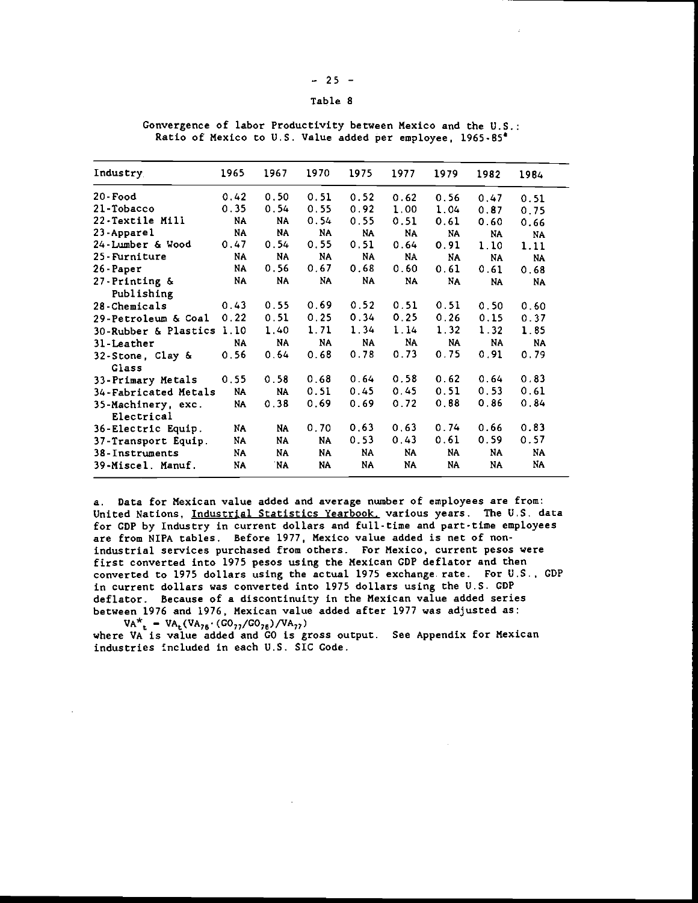| -<br>-- | __ |  |
|---------|----|--|
|---------|----|--|

### Table <sup>8</sup>

Convergence of labor Productivity between Mexico and the U.S. Ratio of Mexico to U.S. Value added per employee, 1965-85

| Industry                         | 1965  | 1967      | 1970      | 1975 | 1977 | 1979 | 1982      | 1984      |
|----------------------------------|-------|-----------|-----------|------|------|------|-----------|-----------|
| $20$ -Food                       | 0.42  | 0.50      | 0.51      | 0.52 | 0.62 | 0.56 | 0.47      | 0.51      |
| 21-Tobacco                       | 0.35  | 0.54      | 0.55      | 0.92 | 1.00 | 1.04 | 0.87      | 0.75      |
| 22-Textile Mill                  | NA    | NA        | 0.54      | 0.55 | 0.51 | 0.61 | 0.60      | 0.66      |
| 23-Apparel                       | NA    | NA        | NA        | NA   | NA   | NA   | NA        | <b>NA</b> |
| 24-Lumber & Wood                 | 0.47  | 0.54      | 0,55      | 0.51 | 0.64 | 0.91 | 1.10      | 1.11      |
| 25-Furniture                     | NA    | NA        | NA        | NA   | NA   | NA   | <b>NA</b> | <b>NA</b> |
| 26-Paper                         | NA    | 0.56      | 0.67      | 0.68 | 0.60 | 0.61 | 0.61      | 0.68      |
| $27$ -Printing &<br>Publishing   | NA    | NA.       | NA.       | NA   | NA   | NA   | NA        | <b>NA</b> |
| 28-Chemicals                     | 0.43  | 0.55      | 0.69      | 0.52 | 0.51 | 0.51 | 0.50      | 0.60      |
| 29-Petroleum & Coal              | 0, 22 | 0.51      | 0.25      | 0.34 | 0.25 | 0.26 | 0.15      | 0.37      |
| 30-Rubber & Plastics             | 1.10  | 1.40      | 1.71      | 1.34 | 1.14 | 1.32 | 1.32      | 1.85      |
| 31-Leather                       | NA    | NA        | <b>NA</b> | NA   | NA   | NA   | <b>NA</b> | <b>NA</b> |
| 32-Stone, Clay &<br><b>Glass</b> | 0.56  | 0.64      | 0.68      | 0.78 | 0.73 | 0.75 | 0.91      | 0.79      |
| 33-Primary Metals                | 0.55  | 0.58      | 0.68      | 0.64 | 0.58 | 0.62 | 0.64      | 0.83      |
| 34-Fabricated Metals             | NA    | <b>NA</b> | 0.51      | 0.45 | 0.45 | 0.51 | 0.53      | 0.61      |
| 35-Machinery, exc.<br>Electrical | NA    | 0.38      | 0.69      | 0.69 | 0.72 | 0.88 | 0.86      | 0.84      |
| 36-Electric Equip.               | NA    | NA        | 0.70      | 0.63 | 0,63 | 0.74 | 0.66      | 0.83      |
| 37-Transport Equip.              | NA    | NA        | NA        | 0.53 | 0,43 | 0.61 | 0.59      | 0.57      |
| 38-Instruments                   | NA    | NA        | NA.       | NA   | NA   | NA   | NA        | NA        |
| 39-Miscel. Manuf.                | NA    | 'NA       | NA.       | NA   | NA   | NA   | NA        | NA.       |

a. Data for Mexican value added and average number of employees are from: United Nations, Industrial Statistics Yearbook, various years. The U.S. data for CDP by Industry in current dollars and full-time and part-time empLoyees are from NIPA tables. Before 1977. Mexico value added is net of nonindustrial services purchased from others. For Mexico, current pesos were first converted into 1975 pesos using the Mexican CDP deflator and then converted to 1975 dollars using the actual 1975 exchange rate. For U.S., GDP in current dollars was converted into 1975 dollars using the U.S. GDP deflator. Because of a discontinuity in the Mexican value added series between 1976 and 1976, Mexican value added after 1977 was adjusted as:

 $VA^*$  =  $VA_t(VA_{76} \cdot (GO_{77}/GO_{76})/VA_{77})$  where VA is value added and GO is gross output. See Appendix for Mexican industries included in each U.S. SIC Code.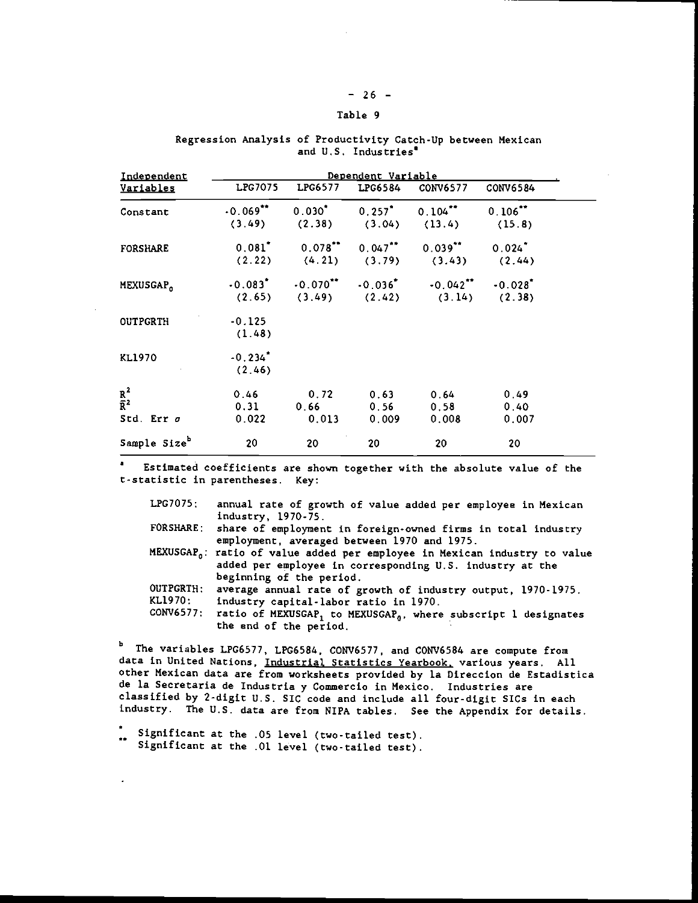# $-26 -$

# Table 9

| Independent              |                       | Dependent Variable         |                |                                                                                        |          |  |  |  |  |  |
|--------------------------|-----------------------|----------------------------|----------------|----------------------------------------------------------------------------------------|----------|--|--|--|--|--|
| <u>Variables</u>         | LPG7075               | LPG6577                    | <b>LPG6584</b> | CONV6577                                                                               | CONV6584 |  |  |  |  |  |
| Constant                 |                       |                            |                | $-0.069$ <sup>**</sup> $0.030$ <sup>*</sup> $0.257$ <sup>*</sup> $0.104$ <sup>**</sup> | 0.106    |  |  |  |  |  |
|                          |                       | $(3.49)$ $(2.38)$ $(3.04)$ |                | (13.4)                                                                                 | (15.8)   |  |  |  |  |  |
| <b>FORSHARE</b>          |                       |                            |                | $0.081^*$ 0.078** 0.047** 0.039** 0.024*                                               |          |  |  |  |  |  |
|                          |                       |                            |                | $(2.22)$ $(4.21)$ $(3.79)$ $(3.43)$ $(2.44)$                                           |          |  |  |  |  |  |
| MEXUSGAP <sub>0</sub>    |                       |                            |                | $-0.083$ $-0.070$ <sup>**</sup> $-0.036$ $-0.042$ <sup>**</sup> $-0.028$ <sup>*</sup>  |          |  |  |  |  |  |
|                          |                       |                            |                | $(2.65)$ $(3.49)$ $(2.42)$ $(3.14)$ $(2.38)$                                           |          |  |  |  |  |  |
| <b>OUTPGRTH</b>          | $-0.125$              |                            |                |                                                                                        |          |  |  |  |  |  |
|                          | (1.48)                |                            |                |                                                                                        |          |  |  |  |  |  |
| <b>KL1970</b>            | $-0.234$ <sup>*</sup> |                            |                |                                                                                        |          |  |  |  |  |  |
|                          | (2.46)                |                            |                |                                                                                        |          |  |  |  |  |  |
| $\frac{R^2}{R^2}$        | 0.46                  | 0.72                       | 0.63           | 0.64                                                                                   | 0.49     |  |  |  |  |  |
|                          | 0.31                  | 0.66                       | 0.56           | 0.58                                                                                   | 0.40     |  |  |  |  |  |
| Std. Err $\sigma$        | 0.022                 | 0.013                      | 0.009          | 0.008                                                                                  | 0.007    |  |  |  |  |  |
| Sample Size <sup>b</sup> | 20                    | 20                         | 20             | 20                                                                                     | 20       |  |  |  |  |  |

# Regression Analysis of Productivity Catch-Up between Mexican and U.S. Industries<sup>®</sup>

Estimated coefficients are shown together with the absolute value of the t-statistic in parentheses. Key:

| LPG7075:             | annual rate of growth of value added per employee in Mexican<br>industry, 1970-75.                                                                                                                                      |
|----------------------|-------------------------------------------------------------------------------------------------------------------------------------------------------------------------------------------------------------------------|
|                      | FORSHARE: share of employment in foreign-owned firms in total industry<br>employment, averaged between 1970 and 1975.                                                                                                   |
|                      | MEXUSGAP <sub>n</sub> : ratio of value added per employee in Mexican industry to value<br>added per employee in corresponding U.S. industry at the<br>beginning of the period.                                          |
| OUTPGRTH:<br>KL1970: | average annual rate of growth of industry output, 1970-1975.<br>industry capital-labor ratio in 1970.<br>CONV6577: ratio of MEXUSGAP, to MEXUSGAP <sub>0</sub> , where subscript 1 designates<br>the end of the period. |

b The variables LPG6577, LPG6584, CONV6577, and CONV6584 are compute from data in United Nations, Industrial Statistics Yearbook, various years. All other Mexican data are from worksheets provided by la Direccion de Estadistica de Ia Secretaria de Industria y Commercio in Mexico. Industries are classified by 2-digit U.S. SIC code and include all four-digit SICs in each industry. The U.S. data are from NIPA tables. See the Appendix for details.

 $\frac{1}{100}$  Significant at the .05 level (two-tailed test). Significant at the .01 level (two-tailed test).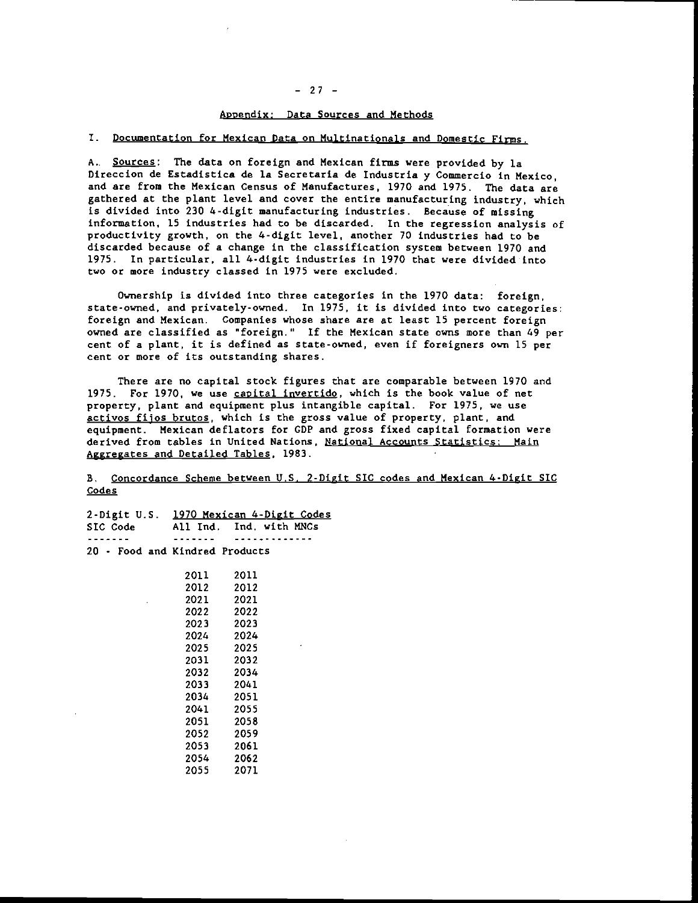#### $-27 -$

#### Appendix: Data Sources and Methods

#### I. Documentation for Mexican Data on Multinationals and Domestic Firns.

A.. Sources: The data on foreign and Mexican firms were provided by Ia Direccion de Estadistica de la Secretaria de Industria y Commercio in Mexico, and are from the Mexican Census of Manufactures, 1970 and 1975. The data are gathered at the plant level and cover the entire manufacturing industry, which is divided into 230 4-digit manufacturing industries. Because of missing information, 15 industries had to be discarded. In the regression analysis of productivity growth, on the 4-digit level, another 70 industries had to be discarded because of a change in the classification system between 1970 and 1975. tn particular, all 4-digit industries in 1970 that were divided into two or more industry classed in 1975 were excluded.

Ownership is divided into three categories in the 1970 data: foreign, state-owned, and privately-owned. In 1975, it is divided into two categories: foreign and Mexican. Companies whose share are at least 15 percent foreign owned are classified as "foreign." If the Mexican state owns more than 49 per cent of a plant, it is defined as state-owned, even if foreigners own 15 per cent or more of its outstanding shares.

There are no capital stock figures that are comparable between 1970 and 1975. For 1970, we use capital invertido, which is the book value of net property, plant and equipment plus intangible capital. For 1975. we use activos fijos brutos, which is the gross value of property, plant, and equipment. Mexican deflators for CDP and gross fixed capital formation were derived from tables in United Nations, National Accounts Statistics: Main Aggregates and Detailed Tables, 1983.

B. Concordance Scheme between U.S. 2-Digit SIC codes and Mexican 4-Digit SIC Codes

|                                |           | 2-Digit U.S. 1970 Mexican 4-Digit Codes |
|--------------------------------|-----------|-----------------------------------------|
|                                |           | SIC Code All Ind. Ind. with MNCs        |
| - - - - - -                    |           |                                         |
| 20 - Food and Kindred Products |           |                                         |
|                                | 2011 2011 |                                         |
|                                | 2012 —    | 2012                                    |
|                                | 2021 2021 |                                         |
|                                | 2022 2022 |                                         |
|                                | 2023 2023 |                                         |
|                                | 2024 2024 |                                         |
|                                | 2025 2025 |                                         |
|                                | 2031 2032 |                                         |
|                                | 2032 2034 |                                         |
|                                | 2033 2041 |                                         |
|                                | 2034 2051 |                                         |
|                                | 2041 2055 |                                         |
|                                | 2051 2058 |                                         |
|                                | 2052 —    | 2059                                    |
|                                | 2053 —    | 2061                                    |
|                                | 2054 —    | 2062                                    |
|                                | 2055 -    | 2071                                    |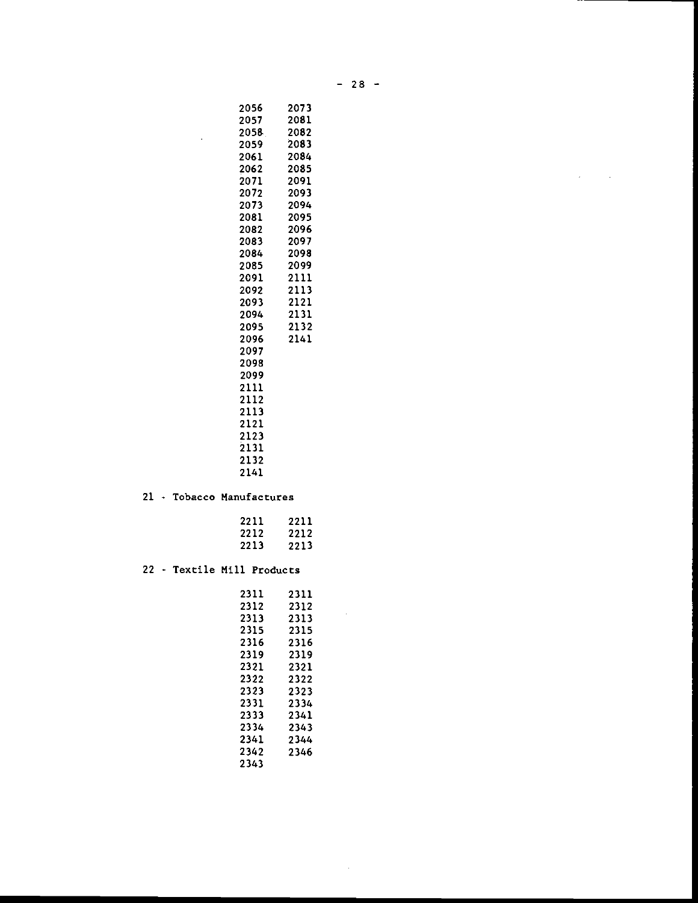| 2073 |  |
|------|--|
| 2081 |  |
| 2082 |  |
| 2083 |  |
| 2084 |  |
| 2085 |  |
| 2091 |  |
| 2093 |  |
| 2094 |  |
| 2095 |  |
| 2096 |  |

| 2083 | 2097 |  |
|------|------|--|
| 2084 | 2098 |  |
| 2085 | 2099 |  |
| 2091 | 2111 |  |
| 2092 | 2113 |  |
| 2093 | 2121 |  |
| 2094 | 2131 |  |
| 2095 | 2132 |  |
| 2096 | 2141 |  |
| 2097 |      |  |
| 2098 |      |  |
| 2099 |      |  |
| 2111 |      |  |
| 2112 |      |  |
| 2113 |      |  |
| 2121 |      |  |
| 2123 |      |  |
| 2131 |      |  |
| 2132 |      |  |
| 2141 |      |  |

 $\ddot{\phantom{a}}$ 

# 21 - Tobacco Manufactures

| 2211 | 2211 |  |
|------|------|--|
| 2212 | 2212 |  |
| 2213 | 2213 |  |

# 22 - Textile Mill Products

| 2311 | 2311 |  |
|------|------|--|
| 2312 | 2312 |  |
| 2313 | 2313 |  |
| 2315 | 2315 |  |
| 2316 | 2316 |  |
| 2319 | 2319 |  |
| 2321 | 2321 |  |
| 2322 | 2322 |  |
| 2323 | 2323 |  |
| 2331 | 2334 |  |
| 2333 | 2341 |  |
| 2334 | 2343 |  |
| 2341 | 2344 |  |
| 2342 | 2346 |  |
| 2343 |      |  |

 $\sim$ 

 $\sim$ 

 $\sim 10$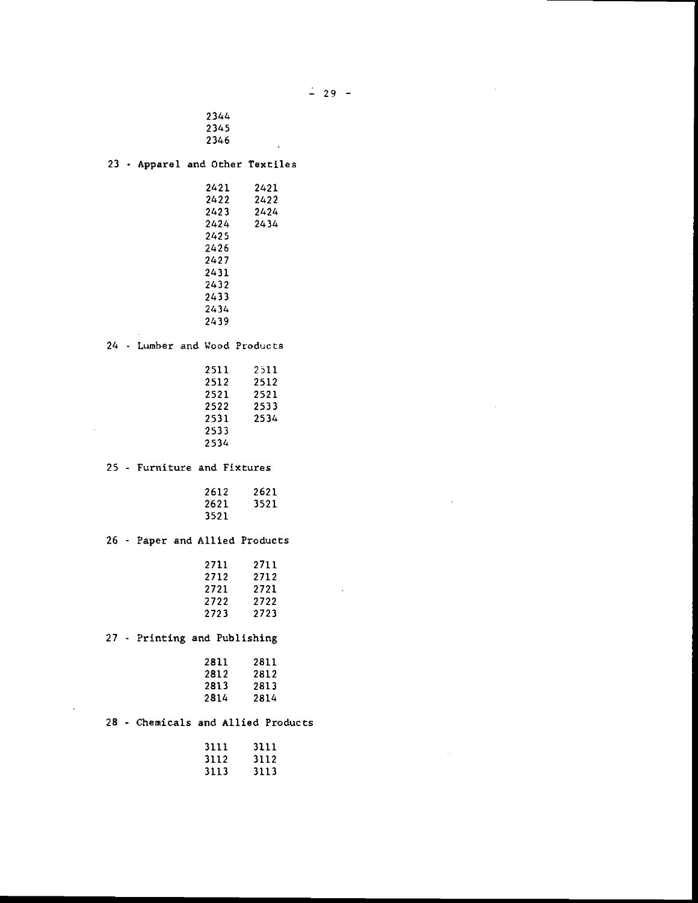$\bar{z}$ 

```
2344
2345
2346
```
Apparel and Other Textiles

| 2421 | 2421 |  |
|------|------|--|
| 2422 | 2422 |  |
| 2423 | 2424 |  |
| 2424 | 2434 |  |
| 2425 |      |  |
| 2426 |      |  |
| 2427 |      |  |
| 2431 |      |  |
| 2432 |      |  |
| 2433 |      |  |
| 2434 |      |  |
| 2439 |      |  |
|      |      |  |

24 - Lumber and Wood Products

| 2511 | 2511 |  |
|------|------|--|
| 2512 | 2512 |  |
| 2521 | 2521 |  |
| 2522 | 2533 |  |
| 2531 | 2534 |  |
| 2533 |      |  |
| 2534 |      |  |

25 - Furniture and Fixtures

J.

| 2612 | 2621 |  |
|------|------|--|
| 2621 | 3521 |  |
| 3521 |      |  |

26 - Paper and Allied Products

| 2711 | 2711 |  |
|------|------|--|
| 2712 | 2712 |  |
| 2721 | 2721 |  |
| 2722 | 2722 |  |
| 2723 | 2723 |  |

 $\overline{\phantom{a}}$ 

27 - Printing and Publishing

| 2811 | 2811 |  |
|------|------|--|
| 2812 | 2812 |  |
| 2813 | 2813 |  |
| 2814 | 2814 |  |

# 28 - Chemicals and Allied Products

| 3111 | 3111 |  |
|------|------|--|
| 3112 | 3112 |  |
| 3113 | 3113 |  |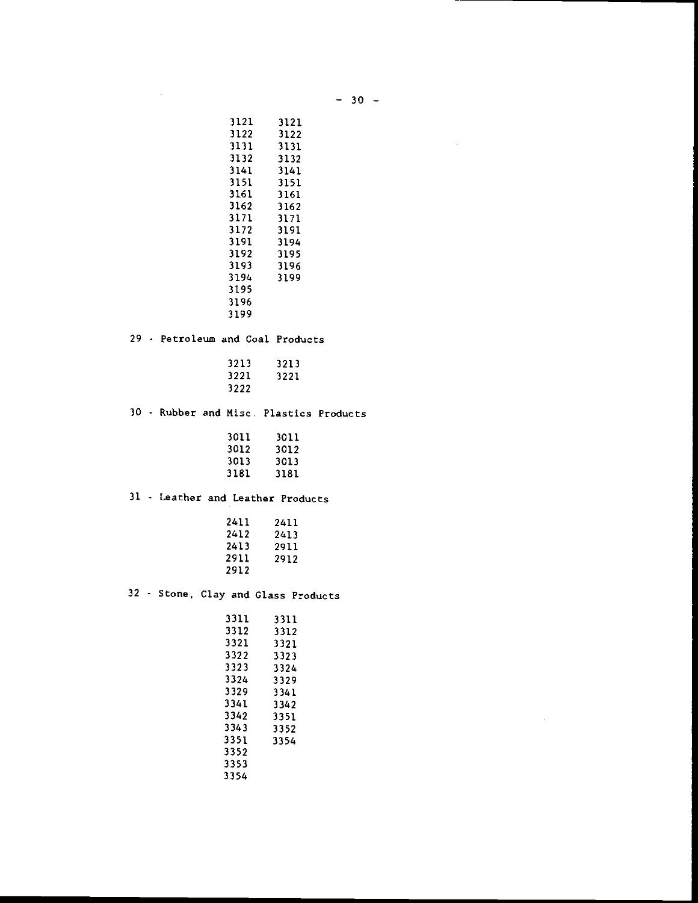| 30 |  |  |
|----|--|--|
|----|--|--|

 $\sim 10$ 

 $\sim 10$ 

|  | 3121                                    | 3121         |  |
|--|-----------------------------------------|--------------|--|
|  | 3122                                    | 3122         |  |
|  | 3131                                    | 3131         |  |
|  | 3132                                    | 3132         |  |
|  | 3141                                    | 3141         |  |
|  | 3151                                    | 3151         |  |
|  | 3161                                    | 3161         |  |
|  | 3162                                    | 3162         |  |
|  | 3171                                    | 3171         |  |
|  | 3172                                    | 3191         |  |
|  | 3191                                    | 3194         |  |
|  | 3192                                    | 3195         |  |
|  | 3193                                    | 3196         |  |
|  | 3194                                    | 3199         |  |
|  | 3195                                    |              |  |
|  | 3196                                    |              |  |
|  | 3199                                    |              |  |
|  | 29 - Petroleum and Coal Products        |              |  |
|  | 3213                                    | 3213         |  |
|  | 3221                                    | 3221         |  |
|  | 3222                                    |              |  |
|  |                                         |              |  |
|  | 30 - Rubber and Misc. Plastics Products |              |  |
|  | 3011                                    | 3011         |  |
|  | 3012                                    | 3012         |  |
|  | 3013                                    | 3013         |  |
|  | 3181                                    | 3181         |  |
|  | 31 - Leather and Leather Products       |              |  |
|  | 2411                                    | 2411         |  |
|  | 2412                                    | 2413         |  |
|  | 2413                                    | 2911         |  |
|  | 2911                                    | 2912         |  |
|  | 2912                                    |              |  |
|  | 32 - Stone, Clay and Glass Products     |              |  |
|  | 3311                                    | 3311         |  |
|  | 3312                                    | 3312         |  |
|  | 3321                                    | 3321         |  |
|  | 3322                                    | 3323         |  |
|  | 3323                                    | 3324         |  |
|  | 3324                                    | 3329         |  |
|  | 3329                                    | 3341         |  |
|  | 3341                                    | 3342         |  |
|  | 3342                                    |              |  |
|  |                                         |              |  |
|  | 3343                                    | 3351         |  |
|  | 3351                                    | 3352<br>3354 |  |

 $\sim 10^7$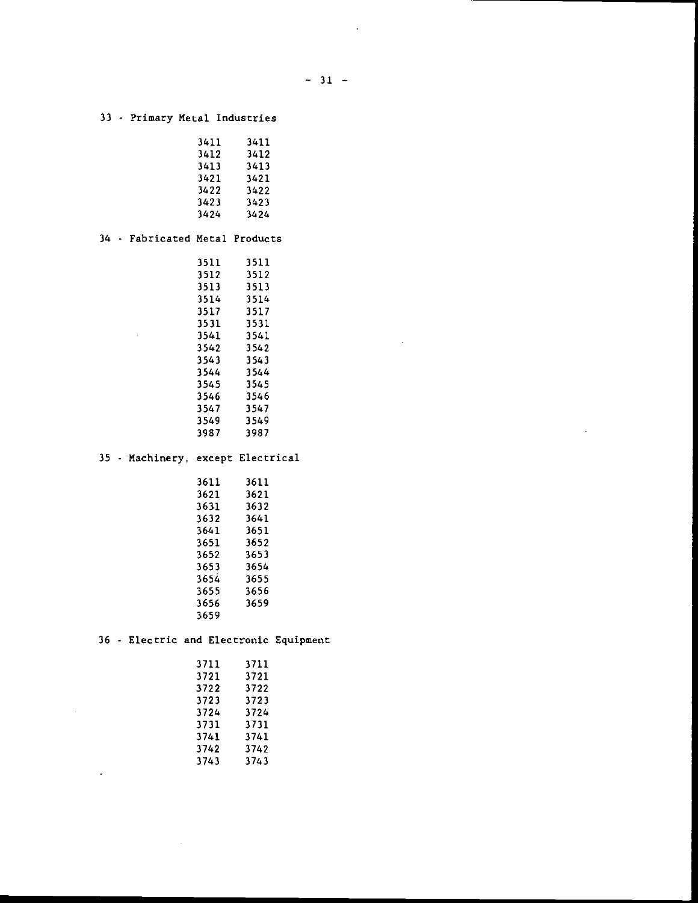$\sim$ 

 $\sim$ 

# - Primary Metal Industries

| 3411 | 3411 |  |
|------|------|--|
| 3412 | 3412 |  |
| 3413 | 3413 |  |
| 3421 | 3421 |  |
| 3422 | 3422 |  |
| 3423 | 3423 |  |
| 3424 | 3424 |  |

# 34 - Fabricated Metal Products

 $\sim 10^{-1}$ 

 $\sim 10^{-11}$ 

 $\overline{\phantom{a}}$ 

| 3511 | 3511 |  |
|------|------|--|
| 3512 | 3512 |  |
| 3513 | 3513 |  |
| 3514 | 3514 |  |
| 3517 | 3517 |  |
| 3531 | 3531 |  |
| 3541 | 3541 |  |
| 3542 | 3542 |  |
| 3543 | 3543 |  |
| 3544 | 3544 |  |
| 3545 | 3545 |  |
| 3546 | 3546 |  |
| 3547 | 3547 |  |
| 3549 | 3549 |  |
| 3987 | 3987 |  |

# - Machinery, except Electrical

| 3611 | 3611 |  |
|------|------|--|
| 3621 | 3621 |  |
| 3631 | 3632 |  |
| 3632 | 3641 |  |
| 3641 | 3651 |  |
| 3651 | 3652 |  |
| 3652 | 3653 |  |
| 3653 | 3654 |  |
| 3654 | 3655 |  |
| 3655 | 3656 |  |
| 3656 | 3659 |  |
| 3659 |      |  |

# 36 - Electric and Electronic Equipment

 $\sim 10^{-11}$ 

| 3711 | 3711 |  |
|------|------|--|
| 3721 | 3721 |  |
| 3722 | 3722 |  |
| 3723 | 3723 |  |
| 3724 | 3724 |  |
| 3731 | 3731 |  |
| 3741 | 3741 |  |
| 3742 | 3742 |  |
| 3743 | 3743 |  |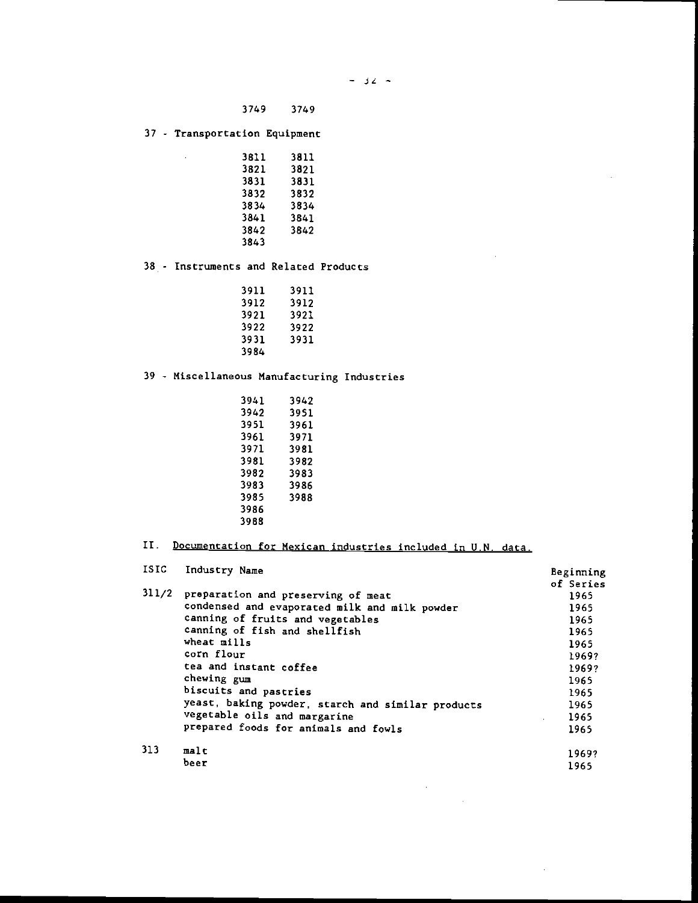$\sim$ 

3749 3749

37 - Transportation Equipment

 $\sim 10$ 

| 3811 | 3811 |  |
|------|------|--|
| 3821 | 3821 |  |
| 3831 | 3831 |  |
| 3832 | 3832 |  |
| 3834 | 3834 |  |
| 3841 | 3841 |  |
| 3842 | 3842 |  |
| 3843 |      |  |
|      |      |  |

38 - Instruments and Related Products

| 3911 | 3911 |  |
|------|------|--|
| 3912 | 3912 |  |
| 3921 | 3921 |  |
| 3922 | 3922 |  |
| 3931 | 3931 |  |
| 3984 |      |  |

39 - Miscellaneous Manufacturing Industries

| 3941 | 3942 |  |
|------|------|--|
| 3942 | 3951 |  |
| 3951 | 3961 |  |
| 3961 | 3971 |  |
| 3971 | 3981 |  |
| 3981 | 3982 |  |
| 3982 | 3983 |  |
| 3983 | 3986 |  |
| 3985 | 3988 |  |
| 3986 |      |  |
| 3988 |      |  |

# II. Documentation for Mexican industries included in U.N. data.

| ISIC  | Industry Name                                     | Beginning |
|-------|---------------------------------------------------|-----------|
|       |                                                   | of Series |
| 311/2 | preparation and preserving of meat                | 1965      |
|       | condensed and evaporated milk and milk powder     | 1965      |
|       | canning of fruits and vegetables                  | 1965      |
|       | canning of fish and shellfish                     | 1965      |
|       | wheat mills                                       | 1965      |
|       | corn flour                                        | 1969?     |
|       | tea and instant coffee                            | 1969?     |
|       | chewing gum                                       | 1965      |
|       | biscuits and pastries                             | 1965      |
|       | yeast, baking powder, starch and similar products | 1965      |
|       | vegetable oils and margarine                      | 1965      |
|       | prepared foods for animals and fowls              | 1965      |
| 313   | malt                                              | 1969?     |
|       | beer                                              | 1965      |

 $\mathcal{L}_{\text{max}}$ 

 $\mathcal{A}^{\mathcal{A}}$ 

 $\bar{z}$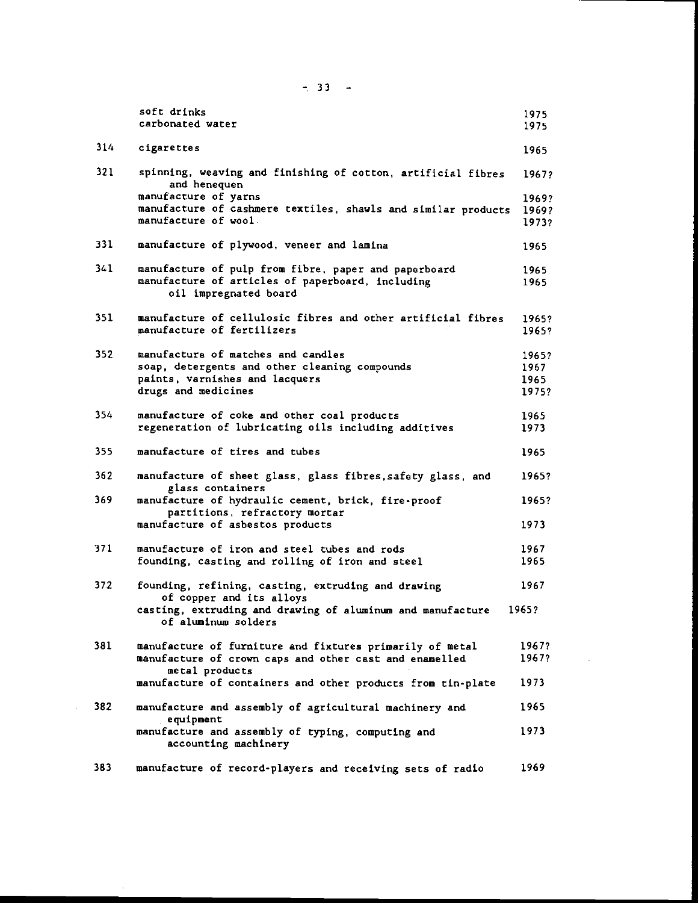|      | soft drinks<br>carbonated water                                                     | 1975<br>1975 |
|------|-------------------------------------------------------------------------------------|--------------|
| 314  | cigarettes                                                                          | 1965         |
| 321  | spinning, weaving and finishing of cotton, artificial fibres<br>and henequen        | 1967?        |
|      | manufacture of yarns                                                                | 1969?        |
|      | manufacture of cashmere textiles, shawls and similar products                       | 1969?        |
|      | manufacture of wool                                                                 | 1973?        |
| 331  | manufacture of plywood, veneer and lamina                                           | 1965         |
| 341  | manufacture of pulp from fibre, paper and paperboard                                | 1965         |
|      | manufacture of articles of paperboard, including<br>oil impregnated board           | 1965         |
| 351  | manufacture of cellulosic fibres and other artificial fibres                        | 1965?        |
|      | manufacture of fertilizers                                                          | 1965?        |
| 352  | manufacture of matches and candles                                                  | 1965?        |
|      | soap, detergents and other cleaning compounds                                       | 1967         |
|      | paints, varnishes and lacquers                                                      | 1965         |
|      | drugs and medicines                                                                 | 1975?        |
| 354  | manufacture of coke and other coal products                                         | 1965         |
|      | regeneration of lubricating oils including additives                                | 1973         |
| 355  | manufacture of tires and tubes                                                      | 1965         |
| 362  | manufacture of sheet glass, glass fibres, safety glass, and<br>glass containers     | 1965?        |
| 369. | manufacture of hydraulic cement, brick, fire-proof<br>partitions, refractory mortar | 1965?        |
|      | manufacture of asbestos products                                                    | 1973         |
| 371. | manufacture of iron and steel tubes and rods                                        | 1967         |
|      | founding, casting and rolling of iron and steel                                     | 1965         |
| 372  | founding, refining, casting, extruding and drawing<br>of copper and its alloys      | 1967         |
|      | casting, extruding and drawing of aluminum and manufacture<br>of aluminum solders   | 1965?        |
| 381  | manufacture of furniture and fixtures primarily of metal                            | 1967?        |
|      | manufacture of crown caps and other cast and enamelled                              | 1967?        |
|      | metal products                                                                      |              |
|      | manufacture of containers and other products from tin-plate                         | 1973         |
| 382  | manufacture and assembly of agricultural machinery and<br>equipment                 | 1965         |
|      | manufacture and assembly of typing, computing and<br>accounting machinery           | 1973         |
| 383  | manufacture of record-players and receiving sets of radio                           | 1969         |

 $\mathcal{L}_{\mathcal{A}}$ 

 $-33 - -$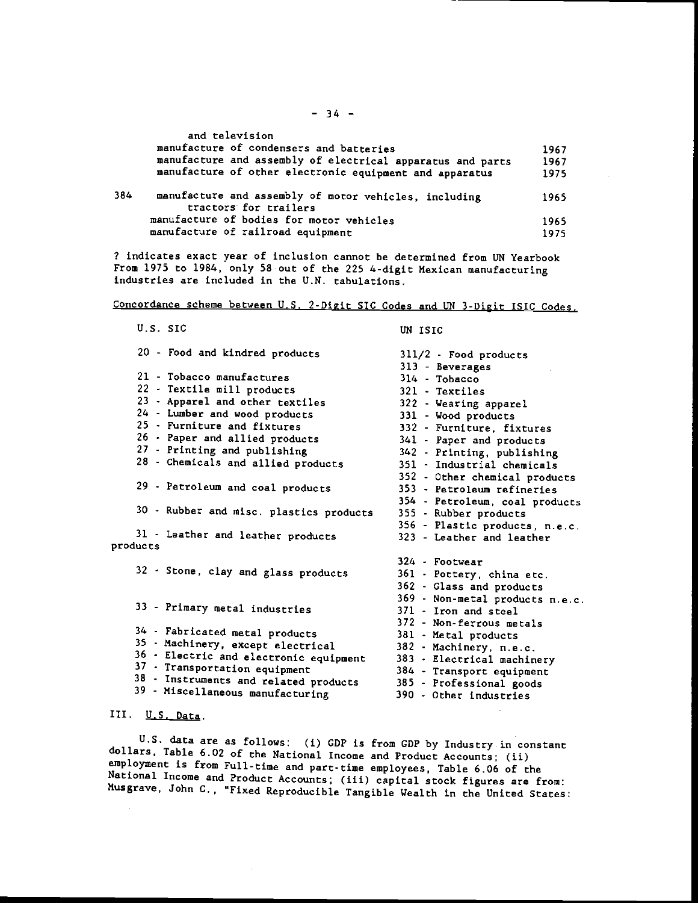|     | and television                                                                 |      |  |
|-----|--------------------------------------------------------------------------------|------|--|
|     | manufacture of condensers and batteries                                        | 1967 |  |
|     | manufacture and assembly of electrical apparatus and parts                     | 1967 |  |
|     | manufacture of other electronic equipment and apparatus                        | 1975 |  |
| 364 | manufacture and assembly of motor vehicles, including<br>tractors for trailers | 1965 |  |
|     | manufacture of bodies for motor vehicles                                       | 1965 |  |
|     | manufacture of railroad equipment                                              | 1975 |  |

? indicates exact year of inclusion cannot be determined from UN Yearbook From 1975 to 1984, only 58 out of the 225 4-digit Mexican manufacturing industries are included in the U.N. tabulations,

Concordance scheme between U.S. 2-Digit SIC Codes and UN 3-Digit ISIC Codes.

| U.S. SIC                                | UN ISIC                         |
|-----------------------------------------|---------------------------------|
| 20 - Food and kindred products          | 311/2 - Food products           |
|                                         | 313 - Beverages                 |
| 21 - Tobacco manufactures               | $314 - Tabacco$                 |
| 22 - Textile mill products              | 321 - Textiles                  |
| 23 - Apparel and other textiles         | 322 - Wearing apparel           |
| 24 - Lumber and wood products           | 331 - Wood products             |
| 25 - Furniture and fixtures             | 332 - Furniture, fixtures       |
| 26 - Paper and allied products          | 341 - Paper and products        |
| 27 - Printing and publishing            | 342 - Printing, publishing      |
| 28 - Chemicals and allied products      | 351 - Industrial chemicals      |
|                                         | 352 - Other chemical products   |
| 29 - Petroleum and coal products        | 353 - Petroleum refineries      |
|                                         | 354 - Petroleum, coal products  |
| 30 - Rubber and misc. plastics products | 355 - Rubber products           |
|                                         | 356 - Plastic products, n.e.c.  |
| 31 - Leather and leather products       | 323 - Leather and leather       |
| products                                |                                 |
|                                         | 324 - Footwear                  |
| 32 - Stone, clay and glass products     | 361 - Pottery, china etc.       |
|                                         | 362 - Glass and products        |
|                                         | 369 - Non-metal products n.e.c. |
| 33 - Primary metal industries           | 371 - Iron and steel            |
|                                         | 372 - Non-ferrous metals        |
| 34 - Fabricated metal products          | 381 - Metal products            |
| 35 - Machinery, except electrical       | 382 - Machinery, n.e.c.         |
| 36 - Electric and electronic equipment  | 383 - Electrical machinery      |
| 37 - Transportation equipment           | 384 - Transport equipment       |
| 38 - Instruments and related products   | 385 - Professional goods        |
| 39 - Miscellaneous manufacturing        | 390 - Other industries          |
| ---                                     |                                 |

# III. U.S. Data.

U.S. data are as follows: (i) GDP is from GDP by Industry.in constant dollars, Table 6.02 of the National Income and Product Accounts; (ii) employment is from Full-time and part-time employees, Table 6.06 of the National Income and Product Accounts; (iii) capital stock figures are from: Musgrave, John C., "Fixed Reproducible Tangible Wealth in the United States: